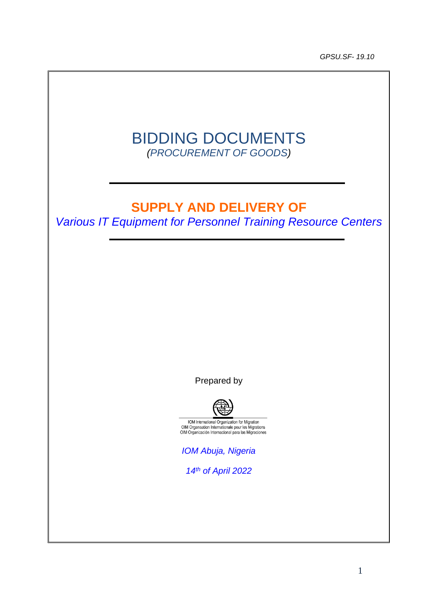*GPSU.SF- 19.10*



# **SUPPLY AND DELIVERY OF**

*Various IT Equipment for Personnel Training Resource Centers*

Prepared by



IOM International Organization for Migration<br>OIM Organisation Internationale pour les Migrations<br>OIM Organización Internacional para las Migraciones

*IOM Abuja, Nigeria*

*14th of April 2022*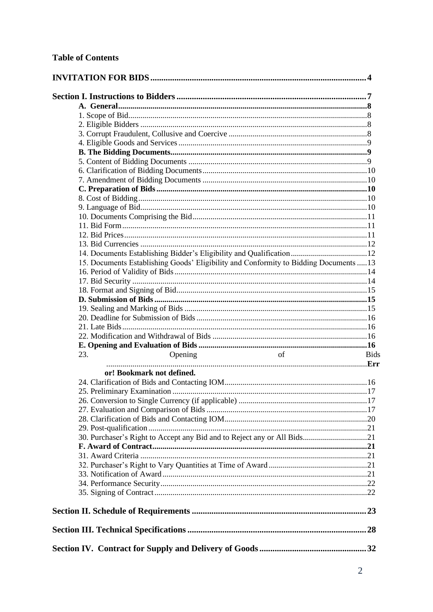| 14. Documents Establishing Bidder's Eligibility and Qualification12                   |
|---------------------------------------------------------------------------------------|
|                                                                                       |
|                                                                                       |
|                                                                                       |
|                                                                                       |
|                                                                                       |
|                                                                                       |
|                                                                                       |
|                                                                                       |
|                                                                                       |
|                                                                                       |
|                                                                                       |
|                                                                                       |
|                                                                                       |
|                                                                                       |
|                                                                                       |
|                                                                                       |
|                                                                                       |
|                                                                                       |
| 15. Documents Establishing Goods' Eligibility and Conformity to Bidding Documents  13 |
|                                                                                       |
|                                                                                       |
|                                                                                       |
|                                                                                       |
|                                                                                       |
|                                                                                       |
|                                                                                       |
|                                                                                       |
|                                                                                       |
| 23.<br>of<br>Opening                                                                  |
| or! Bookmark not defined.                                                             |
|                                                                                       |
|                                                                                       |
|                                                                                       |
|                                                                                       |
|                                                                                       |
|                                                                                       |
| 30. Purchaser's Right to Accept any Bid and to Reject any or All Bids21               |
|                                                                                       |
|                                                                                       |
|                                                                                       |
|                                                                                       |
|                                                                                       |
|                                                                                       |
|                                                                                       |
|                                                                                       |
|                                                                                       |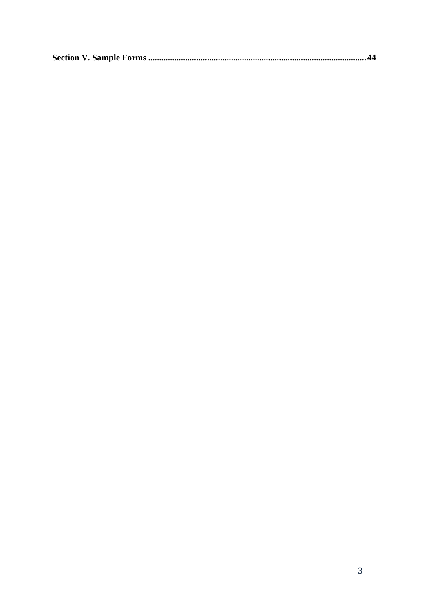|--|--|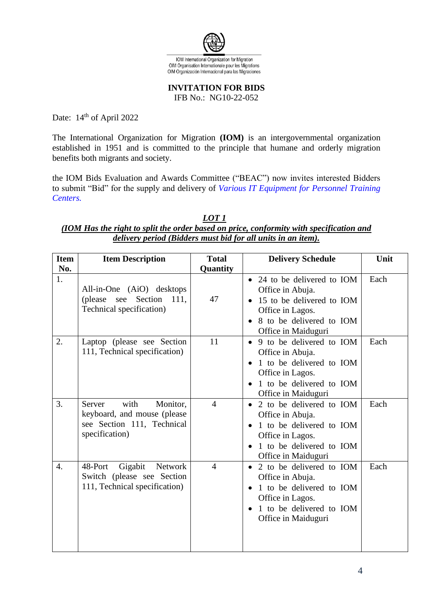

**INVITATION FOR BIDS** 

IFB No.: NG10-22-052

<span id="page-3-0"></span>Date: 14<sup>th</sup> of April 2022

The International Organization for Migration **(IOM)** is an intergovernmental organization established in 1951 and is committed to the principle that humane and orderly migration benefits both migrants and society.

the IOM Bids Evaluation and Awards Committee ("BEAC") now invites interested Bidders to submit "Bid" for the supply and delivery of *Various IT Equipment for Personnel Training Centers.*

### *LOT 1 (IOM Has the right to split the order based on price, conformity with specification and delivery period (Bidders must bid for all units in an item).*

| <b>Item</b>      | <b>Item Description</b>                                                                                   | <b>Total</b>   | <b>Delivery Schedule</b>                                                                                                                                                    | Unit |
|------------------|-----------------------------------------------------------------------------------------------------------|----------------|-----------------------------------------------------------------------------------------------------------------------------------------------------------------------------|------|
| No.              |                                                                                                           | Quantity       |                                                                                                                                                                             |      |
| 1.               | All-in-One (AiO) desktops<br>(please)<br>Section<br>see<br>111,<br>Technical specification)               | 47             | 24 to be delivered to IOM<br>$\bullet$<br>Office in Abuja.<br>15 to be delivered to IOM<br>$\bullet$<br>Office in Lagos.<br>8 to be delivered to IOM<br>Office in Maiduguri | Each |
| 2.               | Laptop (please see Section<br>111, Technical specification)                                               | 11             | 9 to be delivered to IOM<br>$\bullet$<br>Office in Abuja.<br>1 to be delivered to IOM<br>Office in Lagos.<br>1 to be delivered to IOM<br>Office in Maiduguri                | Each |
| 3.               | with<br>Monitor,<br>Server<br>keyboard, and mouse (please<br>see Section 111, Technical<br>specification) | $\overline{4}$ | 2 to be delivered to IOM<br>$\bullet$<br>Office in Abuja.<br>1 to be delivered to IOM<br>Office in Lagos.<br>1 to be delivered to IOM<br>Office in Maiduguri                | Each |
| $\overline{4}$ . | Gigabit<br>Network<br>48-Port<br>Switch (please see Section<br>111, Technical specification)              | $\overline{4}$ | • 2 to be delivered to IOM<br>Office in Abuja.<br>1 to be delivered to IOM<br>Office in Lagos.<br>1 to be delivered to IOM<br>Office in Maiduguri                           | Each |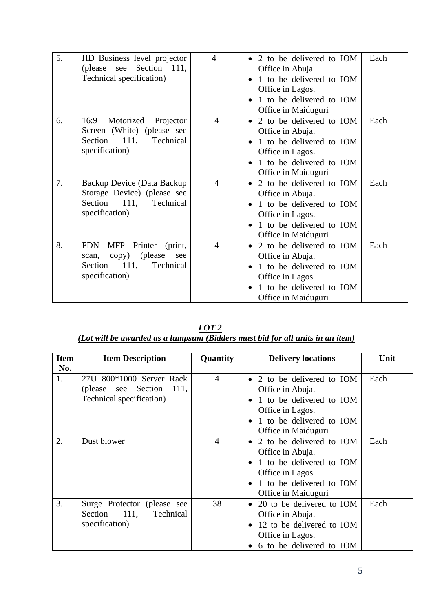| 5. | HD Business level projector      | $\overline{4}$ | 2 to be delivered to IOM              | Each |
|----|----------------------------------|----------------|---------------------------------------|------|
|    | Section 111,<br>(please see      |                | Office in Abuja.                      |      |
|    | Technical specification)         |                | 1 to be delivered to IOM              |      |
|    |                                  |                | Office in Lagos.                      |      |
|    |                                  |                | 1 to be delivered to IOM              |      |
|    |                                  |                | Office in Maiduguri                   |      |
| 6. | 16:9                             | $\overline{4}$ |                                       | Each |
|    | Motorized Projector              |                | 2 to be delivered to IOM<br>$\bullet$ |      |
|    | Screen (White) (please see       |                | Office in Abuja.                      |      |
|    | Section 111, Technical           |                | 1 to be delivered to IOM              |      |
|    | specification)                   |                | Office in Lagos.                      |      |
|    |                                  |                | 1 to be delivered to IOM              |      |
|    |                                  |                | Office in Maiduguri                   |      |
| 7. | Backup Device (Data Backup       | $\overline{4}$ | 2 to be delivered to IOM              | Each |
|    | Storage Device) (please see      |                | Office in Abuja.                      |      |
|    | Section 111,<br>Technical        |                | 1 to be delivered to IOM              |      |
|    |                                  |                |                                       |      |
|    | specification)                   |                | Office in Lagos.                      |      |
|    |                                  |                | 1 to be delivered to IOM              |      |
|    |                                  |                | Office in Maiduguri                   |      |
| 8. | Printer<br>FDN<br>MFP<br>(print, | $\overline{4}$ | 2 to be delivered to IOM<br>$\bullet$ | Each |
|    | copy) (please<br>scan,<br>see    |                | Office in Abuja.                      |      |
|    | 111,<br>Technical<br>Section     |                | 1 to be delivered to IOM              |      |
|    | specification)                   |                | Office in Lagos.                      |      |
|    |                                  |                |                                       |      |
|    |                                  |                | 1 to be delivered to IOM              |      |
|    |                                  |                | Office in Maiduguri                   |      |

| LOT <sub>2</sub>                                                              |  |
|-------------------------------------------------------------------------------|--|
| (Lot will be awarded as a lumpsum (Bidders must bid for all units in an item) |  |

| <b>Item</b> | <b>Item Description</b>                                                          | <b>Quantity</b> | <b>Delivery locations</b>                                                                                                                       | Unit |
|-------------|----------------------------------------------------------------------------------|-----------------|-------------------------------------------------------------------------------------------------------------------------------------------------|------|
| No.         |                                                                                  |                 |                                                                                                                                                 |      |
| 1.          | 27U 800*1000 Server Rack<br>(please see Section 111,<br>Technical specification) | $\overline{4}$  | 2 to be delivered to IOM<br>Office in Abuja.<br>1 to be delivered to IOM<br>Office in Lagos.<br>1 to be delivered to IOM<br>Office in Maiduguri | Each |
| 2.          | Dust blower                                                                      | 4               | 2 to be delivered to IOM<br>Office in Abuja.<br>1 to be delivered to IOM<br>Office in Lagos.<br>1 to be delivered to IOM<br>Office in Maiduguri | Each |
| 3.          | Surge Protector (please see<br>Section 111,<br>Technical<br>specification)       | 38              | 20 to be delivered to IOM<br>$\bullet$<br>Office in Abuja.<br>12 to be delivered to IOM<br>Office in Lagos.<br>6 to be delivered to IOM         | Each |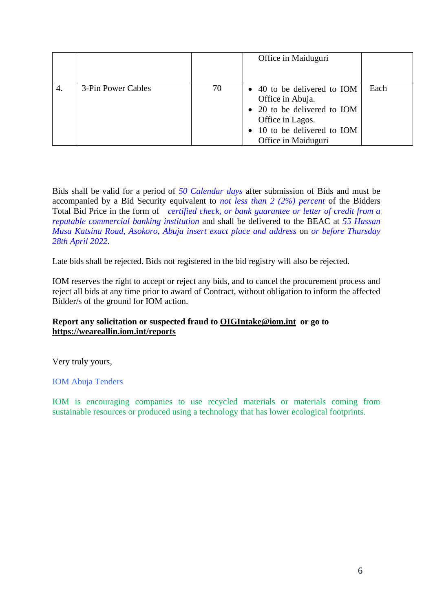|    |                    |    | Office in Maiduguri                                                                                                                                      |      |
|----|--------------------|----|----------------------------------------------------------------------------------------------------------------------------------------------------------|------|
| 4. | 3-Pin Power Cables | 70 | • 40 to be delivered to IOM<br>Office in Abuja.<br>• 20 to be delivered to IOM<br>Office in Lagos.<br>• 10 to be delivered to IOM<br>Office in Maiduguri | Each |

Bids shall be valid for a period of *50 Calendar days* after submission of Bids and must be accompanied by a Bid Security equivalent to *not less than 2 (2%) percent* of the Bidders Total Bid Price in the form of *certified check, or bank guarantee or letter of credit from a reputable commercial banking institution* and shall be delivered to the BEAC at *55 Hassan Musa Katsina Road, Asokoro, Abuja insert exact place and address* on *or before Thursday 28th April 2022.*

Late bids shall be rejected. Bids not registered in the bid registry will also be rejected.

IOM reserves the right to accept or reject any bids, and to cancel the procurement process and reject all bids at any time prior to award of Contract, without obligation to inform the affected Bidder/s of the ground for IOM action.

# **Report any solicitation or suspected fraud to [OIGIntake@iom.int](mailto:OIGIntake@iom.int) or go to <https://weareallin.iom.int/reports>**

Very truly yours,

# IOM Abuja Tenders

IOM is encouraging companies to use recycled materials or materials coming from sustainable resources or produced using a technology that has lower ecological footprints.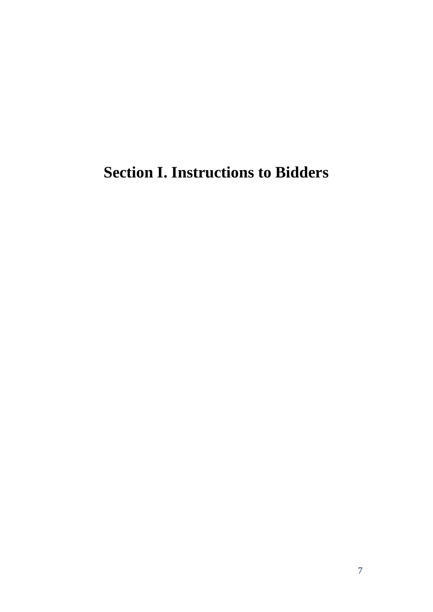# <span id="page-6-0"></span>**Section I. Instructions to Bidders**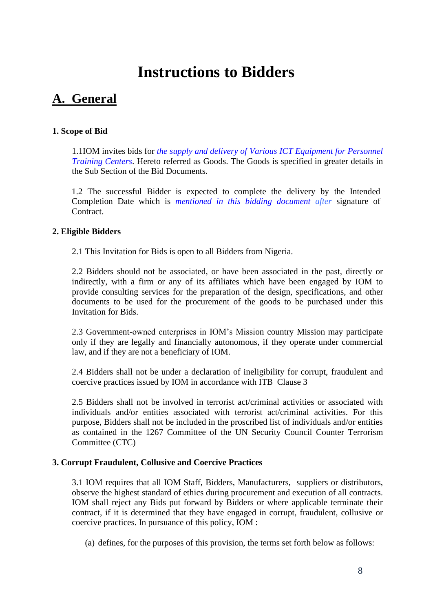# **Instructions to Bidders**

# <span id="page-7-0"></span>**A. General**

# <span id="page-7-1"></span>**1. Scope of Bid**

1.1IOM invites bids for *the supply and delivery of Various ICT Equipment for Personnel Training Centers*. Hereto referred as Goods. The Goods is specified in greater details in the Sub Section of the Bid Documents.

1.2 The successful Bidder is expected to complete the delivery by the Intended Completion Date which is *mentioned in this bidding document after* signature of Contract.

# <span id="page-7-2"></span>**2. Eligible Bidders**

2.1 This Invitation for Bids is open to all Bidders from Nigeria.

2.2 Bidders should not be associated, or have been associated in the past, directly or indirectly, with a firm or any of its affiliates which have been engaged by IOM to provide consulting services for the preparation of the design, specifications, and other documents to be used for the procurement of the goods to be purchased under this Invitation for Bids.

2.3 Government-owned enterprises in IOM's Mission country Mission may participate only if they are legally and financially autonomous, if they operate under commercial law, and if they are not a beneficiary of IOM.

2.4 Bidders shall not be under a declaration of ineligibility for corrupt, fraudulent and coercive practices issued by IOM in accordance with ITB Clause 3

2.5 Bidders shall not be involved in terrorist act/criminal activities or associated with individuals and/or entities associated with terrorist act/criminal activities. For this purpose, Bidders shall not be included in the proscribed list of individuals and/or entities as contained in the 1267 Committee of the UN Security Council Counter Terrorism Committee (CTC)

### <span id="page-7-3"></span>**3. Corrupt Fraudulent, Collusive and Coercive Practices**

3.1 IOM requires that all IOM Staff, Bidders, Manufacturers, suppliers or distributors, observe the highest standard of ethics during procurement and execution of all contracts. IOM shall reject any Bids put forward by Bidders or where applicable terminate their contract, if it is determined that they have engaged in corrupt, fraudulent, collusive or coercive practices. In pursuance of this policy, IOM :

(a) defines, for the purposes of this provision, the terms set forth below as follows: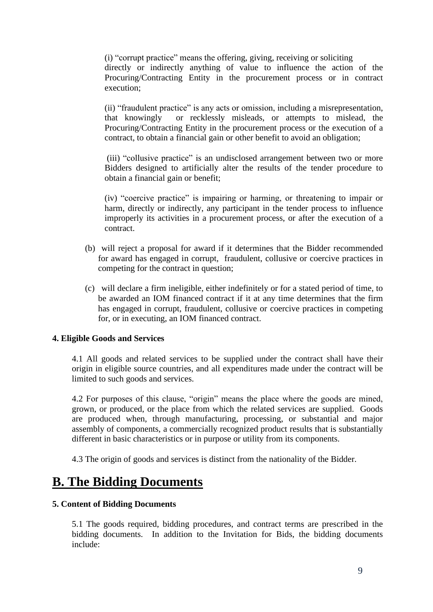(i) "corrupt practice" means the offering, giving, receiving or soliciting directly or indirectly anything of value to influence the action of the Procuring/Contracting Entity in the procurement process or in contract execution;

(ii) "fraudulent practice" is any acts or omission, including a misrepresentation, that knowingly or recklessly misleads, or attempts to mislead, the Procuring/Contracting Entity in the procurement process or the execution of a contract, to obtain a financial gain or other benefit to avoid an obligation;

(iii) "collusive practice" is an undisclosed arrangement between two or more Bidders designed to artificially alter the results of the tender procedure to obtain a financial gain or benefit;

(iv) "coercive practice" is impairing or harming, or threatening to impair or harm, directly or indirectly, any participant in the tender process to influence improperly its activities in a procurement process, or after the execution of a contract.

- (b) will reject a proposal for award if it determines that the Bidder recommended for award has engaged in corrupt, fraudulent, collusive or coercive practices in competing for the contract in question;
- (c) will declare a firm ineligible, either indefinitely or for a stated period of time, to be awarded an IOM financed contract if it at any time determines that the firm has engaged in corrupt, fraudulent, collusive or coercive practices in competing for, or in executing, an IOM financed contract.

### <span id="page-8-0"></span>**4. Eligible Goods and Services**

4.1 All goods and related services to be supplied under the contract shall have their origin in eligible source countries, and all expenditures made under the contract will be limited to such goods and services.

4.2 For purposes of this clause, "origin" means the place where the goods are mined, grown, or produced, or the place from which the related services are supplied. Goods are produced when, through manufacturing, processing, or substantial and major assembly of components, a commercially recognized product results that is substantially different in basic characteristics or in purpose or utility from its components.

4.3 The origin of goods and services is distinct from the nationality of the Bidder.

# <span id="page-8-1"></span>**B. The Bidding Documents**

#### <span id="page-8-2"></span>**5. Content of Bidding Documents**

5.1 The goods required, bidding procedures, and contract terms are prescribed in the bidding documents. In addition to the Invitation for Bids, the bidding documents include: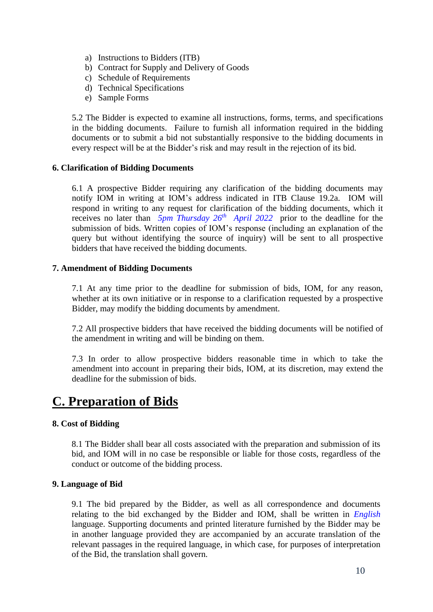- a) Instructions to Bidders (ITB)
- b) Contract for Supply and Delivery of Goods
- c) Schedule of Requirements
- d) Technical Specifications
- e) Sample Forms

5.2 The Bidder is expected to examine all instructions, forms, terms, and specifications in the bidding documents. Failure to furnish all information required in the bidding documents or to submit a bid not substantially responsive to the bidding documents in every respect will be at the Bidder's risk and may result in the rejection of its bid.

# <span id="page-9-0"></span>**6. Clarification of Bidding Documents**

6.1 A prospective Bidder requiring any clarification of the bidding documents may notify IOM in writing at IOM's address indicated in ITB Clause 19.2a. IOM will respond in writing to any request for clarification of the bidding documents, which it receives no later than *5pm Thursday* 26<sup>th</sup> *April* 2022 prior to the deadline for the submission of bids. Written copies of IOM's response (including an explanation of the query but without identifying the source of inquiry) will be sent to all prospective bidders that have received the bidding documents.

### <span id="page-9-1"></span>**7. Amendment of Bidding Documents**

7.1 At any time prior to the deadline for submission of bids, IOM, for any reason, whether at its own initiative or in response to a clarification requested by a prospective Bidder, may modify the bidding documents by amendment.

7.2 All prospective bidders that have received the bidding documents will be notified of the amendment in writing and will be binding on them.

7.3 In order to allow prospective bidders reasonable time in which to take the amendment into account in preparing their bids, IOM, at its discretion, may extend the deadline for the submission of bids.

# <span id="page-9-2"></span>**C. Preparation of Bids**

### <span id="page-9-3"></span>**8. Cost of Bidding**

8.1 The Bidder shall bear all costs associated with the preparation and submission of its bid, and IOM will in no case be responsible or liable for those costs, regardless of the conduct or outcome of the bidding process.

### <span id="page-9-4"></span>**9. Language of Bid**

9.1 The bid prepared by the Bidder, as well as all correspondence and documents relating to the bid exchanged by the Bidder and IOM, shall be written in *English* language. Supporting documents and printed literature furnished by the Bidder may be in another language provided they are accompanied by an accurate translation of the relevant passages in the required language, in which case, for purposes of interpretation of the Bid, the translation shall govern.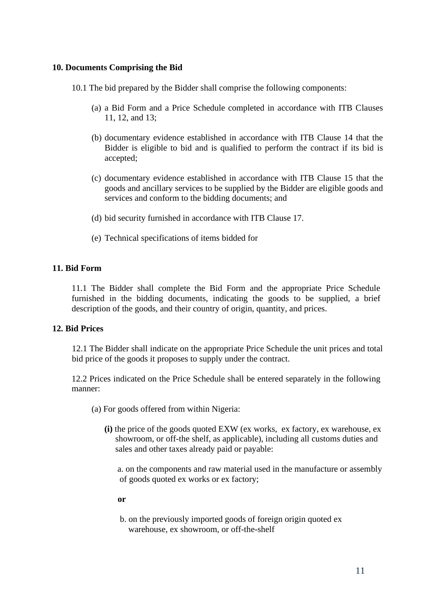## <span id="page-10-0"></span>**10. Documents Comprising the Bid**

10.1 The bid prepared by the Bidder shall comprise the following components:

- (a) a Bid Form and a Price Schedule completed in accordance with ITB Clauses 11, 12, and 13;
- (b) documentary evidence established in accordance with ITB Clause 14 that the Bidder is eligible to bid and is qualified to perform the contract if its bid is accepted;
- (c) documentary evidence established in accordance with ITB Clause 15 that the goods and ancillary services to be supplied by the Bidder are eligible goods and services and conform to the bidding documents; and
- (d) bid security furnished in accordance with ITB Clause 17.
- (e) Technical specifications of items bidded for

# <span id="page-10-1"></span>**11. Bid Form**

11.1 The Bidder shall complete the Bid Form and the appropriate Price Schedule furnished in the bidding documents, indicating the goods to be supplied, a brief description of the goods, and their country of origin, quantity, and prices.

### <span id="page-10-2"></span>**12. Bid Prices**

12.1 The Bidder shall indicate on the appropriate Price Schedule the unit prices and total bid price of the goods it proposes to supply under the contract.

12.2 Prices indicated on the Price Schedule shall be entered separately in the following manner:

- (a) For goods offered from within Nigeria:
	- **(i)** the price of the goods quoted EXW (ex works, ex factory, ex warehouse, ex showroom, or off-the shelf, as applicable), including all customs duties and sales and other taxes already paid or payable:

 a. on the components and raw material used in the manufacture or assembly of goods quoted ex works or ex factory;

- **or**
- b. on the previously imported goods of foreign origin quoted ex warehouse, ex showroom, or off-the-shelf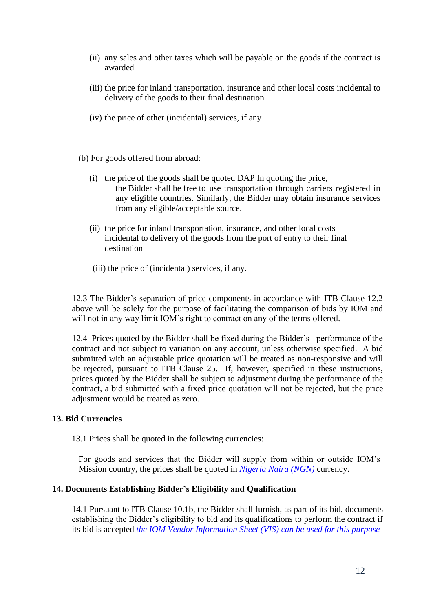- (ii) any sales and other taxes which will be payable on the goods if the contract is awarded
- (iii) the price for inland transportation, insurance and other local costs incidental to delivery of the goods to their final destination
- (iv) the price of other (incidental) services, if any
- (b) For goods offered from abroad:
	- (i) the price of the goods shall be quoted DAP In quoting the price, the Bidder shall be free to use transportation through carriers registered in any eligible countries. Similarly, the Bidder may obtain insurance services from any eligible/acceptable source.
	- (ii) the price for inland transportation, insurance, and other local costs incidental to delivery of the goods from the port of entry to their final destination
	- (iii) the price of (incidental) services, if any.

12.3 The Bidder's separation of price components in accordance with ITB Clause 12.2 above will be solely for the purpose of facilitating the comparison of bids by IOM and will not in any way limit IOM's right to contract on any of the terms offered.

12.4 Prices quoted by the Bidder shall be fixed during the Bidder's performance of the contract and not subject to variation on any account, unless otherwise specified. A bid submitted with an adjustable price quotation will be treated as non-responsive and will be rejected, pursuant to ITB Clause 25. If, however, specified in these instructions, prices quoted by the Bidder shall be subject to adjustment during the performance of the contract, a bid submitted with a fixed price quotation will not be rejected, but the price adjustment would be treated as zero.

# <span id="page-11-0"></span>**13. Bid Currencies**

13.1 Prices shall be quoted in the following currencies:

For goods and services that the Bidder will supply from within or outside IOM's Mission country, the prices shall be quoted in *Nigeria Naira (NGN)* currency.

### <span id="page-11-1"></span>**14. Documents Establishing Bidder's Eligibility and Qualification**

14.1 Pursuant to ITB Clause 10.1b, the Bidder shall furnish, as part of its bid, documents establishing the Bidder's eligibility to bid and its qualifications to perform the contract if its bid is accepted *the IOM Vendor Information Sheet (VIS) can be used for this purpose*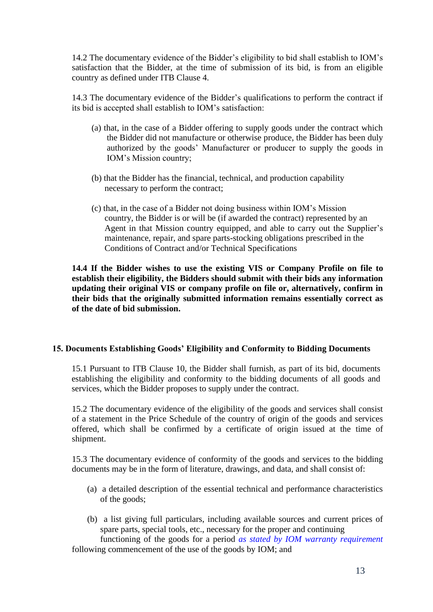14.2 The documentary evidence of the Bidder's eligibility to bid shall establish to IOM's satisfaction that the Bidder, at the time of submission of its bid, is from an eligible country as defined under ITB Clause 4.

14.3 The documentary evidence of the Bidder's qualifications to perform the contract if its bid is accepted shall establish to IOM's satisfaction:

- (a) that, in the case of a Bidder offering to supply goods under the contract which the Bidder did not manufacture or otherwise produce, the Bidder has been duly authorized by the goods' Manufacturer or producer to supply the goods in IOM's Mission country;
- (b) that the Bidder has the financial, technical, and production capability necessary to perform the contract;
- (c) that, in the case of a Bidder not doing business within IOM's Mission country, the Bidder is or will be (if awarded the contract) represented by an Agent in that Mission country equipped, and able to carry out the Supplier's maintenance, repair, and spare parts-stocking obligations prescribed in the Conditions of Contract and/or Technical Specifications

**14.4 If the Bidder wishes to use the existing VIS or Company Profile on file to establish their eligibility, the Bidders should submit with their bids any information updating their original VIS or company profile on file or, alternatively, confirm in their bids that the originally submitted information remains essentially correct as of the date of bid submission.**

### <span id="page-12-0"></span>**15. Documents Establishing Goods' Eligibility and Conformity to Bidding Documents**

15.1 Pursuant to ITB Clause 10, the Bidder shall furnish, as part of its bid, documents establishing the eligibility and conformity to the bidding documents of all goods and services, which the Bidder proposes to supply under the contract.

15.2 The documentary evidence of the eligibility of the goods and services shall consist of a statement in the Price Schedule of the country of origin of the goods and services offered, which shall be confirmed by a certificate of origin issued at the time of shipment.

15.3 The documentary evidence of conformity of the goods and services to the bidding documents may be in the form of literature, drawings, and data, and shall consist of:

- (a) a detailed description of the essential technical and performance characteristics of the goods;
- (b) a list giving full particulars, including available sources and current prices of spare parts, special tools, etc., necessary for the proper and continuing

 functioning of the goods for a period *as stated by IOM warranty requirement* following commencement of the use of the goods by IOM; and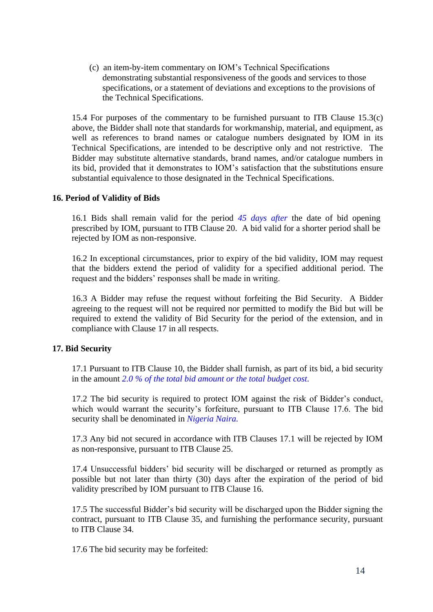(c) an item-by-item commentary on IOM's Technical Specifications demonstrating substantial responsiveness of the goods and services to those specifications, or a statement of deviations and exceptions to the provisions of the Technical Specifications.

15.4 For purposes of the commentary to be furnished pursuant to ITB Clause 15.3(c) above, the Bidder shall note that standards for workmanship, material, and equipment, as well as references to brand names or catalogue numbers designated by IOM in its Technical Specifications, are intended to be descriptive only and not restrictive. The Bidder may substitute alternative standards, brand names, and/or catalogue numbers in its bid, provided that it demonstrates to IOM's satisfaction that the substitutions ensure substantial equivalence to those designated in the Technical Specifications.

### <span id="page-13-0"></span>**16. Period of Validity of Bids**

16.1 Bids shall remain valid for the period *45 days after* the date of bid opening prescribed by IOM, pursuant to ITB Clause 20. A bid valid for a shorter period shall be rejected by IOM as non-responsive.

16.2 In exceptional circumstances, prior to expiry of the bid validity, IOM may request that the bidders extend the period of validity for a specified additional period. The request and the bidders' responses shall be made in writing.

16.3 A Bidder may refuse the request without forfeiting the Bid Security. A Bidder agreeing to the request will not be required nor permitted to modify the Bid but will be required to extend the validity of Bid Security for the period of the extension, and in compliance with Clause 17 in all respects.

### <span id="page-13-1"></span>**17. Bid Security**

17.1 Pursuant to ITB Clause 10, the Bidder shall furnish, as part of its bid, a bid security in the amount *2.0 % of the total bid amount or the total budget cost.*

17.2 The bid security is required to protect IOM against the risk of Bidder's conduct, which would warrant the security's forfeiture, pursuant to ITB Clause 17.6. The bid security shall be denominated in *Nigeria Naira.*

17.3 Any bid not secured in accordance with ITB Clauses 17.1 will be rejected by IOM as non-responsive, pursuant to ITB Clause 25.

17.4 Unsuccessful bidders' bid security will be discharged or returned as promptly as possible but not later than thirty (30) days after the expiration of the period of bid validity prescribed by IOM pursuant to ITB Clause 16.

17.5 The successful Bidder's bid security will be discharged upon the Bidder signing the contract, pursuant to ITB Clause 35, and furnishing the performance security, pursuant to ITB Clause 34.

17.6 The bid security may be forfeited: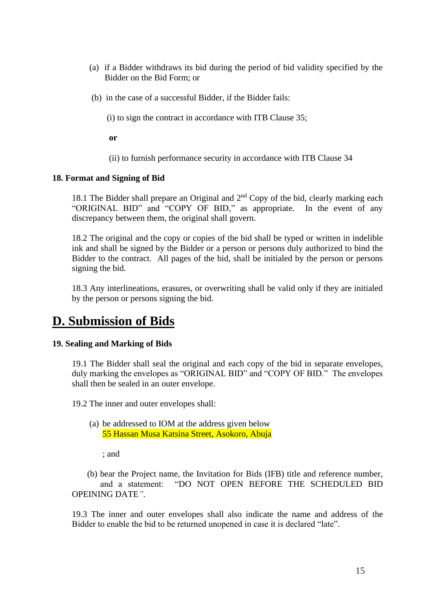- (a) if a Bidder withdraws its bid during the period of bid validity specified by the Bidder on the Bid Form; or
- (b) in the case of a successful Bidder, if the Bidder fails:

(i) to sign the contract in accordance with ITB Clause 35;

**or**

(ii) to furnish performance security in accordance with ITB Clause 34

### <span id="page-14-0"></span>**18. Format and Signing of Bid**

18.1 The Bidder shall prepare an Original and  $2<sup>nd</sup>$  Copy of the bid, clearly marking each "ORIGINAL BID" and "COPY OF BID," as appropriate. In the event of any discrepancy between them, the original shall govern.

18.2 The original and the copy or copies of the bid shall be typed or written in indelible ink and shall be signed by the Bidder or a person or persons duly authorized to bind the Bidder to the contract. All pages of the bid, shall be initialed by the person or persons signing the bid.

18.3 Any interlineations, erasures, or overwriting shall be valid only if they are initialed by the person or persons signing the bid.

# <span id="page-14-1"></span>**D. Submission of Bids**

### <span id="page-14-2"></span>**19. Sealing and Marking of Bids**

19.1 The Bidder shall seal the original and each copy of the bid in separate envelopes, duly marking the envelopes as "ORIGINAL BID" and "COPY OF BID." The envelopes shall then be sealed in an outer envelope.

19.2 The inner and outer envelopes shall:

(a) be addressed to IOM at the address given below 55 Hassan Musa Katsina Street, Asokoro, Abuja

; and

 (b) bear the Project name, the Invitation for Bids (IFB) title and reference number, and a statement: "DO NOT OPEN BEFORE THE SCHEDULED BID OPEINING DATE*"*.

19.3 The inner and outer envelopes shall also indicate the name and address of the Bidder to enable the bid to be returned unopened in case it is declared "late".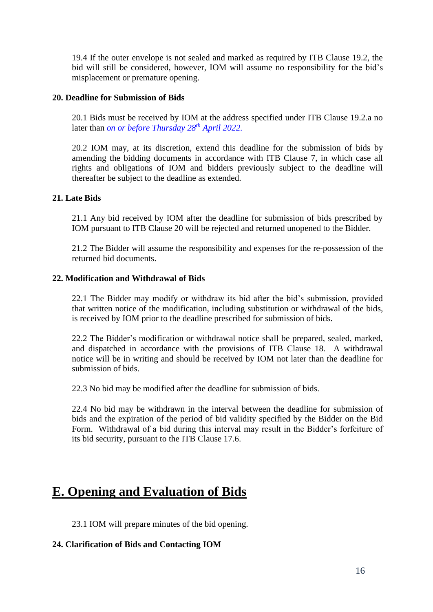19.4 If the outer envelope is not sealed and marked as required by ITB Clause 19.2, the bid will still be considered, however, IOM will assume no responsibility for the bid's misplacement or premature opening.

# <span id="page-15-0"></span>**20. Deadline for Submission of Bids**

20.1 Bids must be received by IOM at the address specified under ITB Clause 19.2.a no later than *on or before Thursday 28th April 2022.*

20.2 IOM may, at its discretion, extend this deadline for the submission of bids by amending the bidding documents in accordance with ITB Clause 7, in which case all rights and obligations of IOM and bidders previously subject to the deadline will thereafter be subject to the deadline as extended.

# <span id="page-15-1"></span>**21. Late Bids**

21.1 Any bid received by IOM after the deadline for submission of bids prescribed by IOM pursuant to ITB Clause 20 will be rejected and returned unopened to the Bidder.

21.2 The Bidder will assume the responsibility and expenses for the re-possession of the returned bid documents.

# <span id="page-15-2"></span>**22. Modification and Withdrawal of Bids**

22.1 The Bidder may modify or withdraw its bid after the bid's submission, provided that written notice of the modification, including substitution or withdrawal of the bids, is received by IOM prior to the deadline prescribed for submission of bids.

22.2 The Bidder's modification or withdrawal notice shall be prepared, sealed, marked, and dispatched in accordance with the provisions of ITB Clause 18. A withdrawal notice will be in writing and should be received by IOM not later than the deadline for submission of bids.

22.3 No bid may be modified after the deadline for submission of bids.

22.4 No bid may be withdrawn in the interval between the deadline for submission of bids and the expiration of the period of bid validity specified by the Bidder on the Bid Form. Withdrawal of a bid during this interval may result in the Bidder's forfeiture of its bid security, pursuant to the ITB Clause 17.6.

# <span id="page-15-3"></span>**E. Opening and Evaluation of Bids**

23.1 IOM will prepare minutes of the bid opening.

# <span id="page-15-4"></span>**24. Clarification of Bids and Contacting IOM**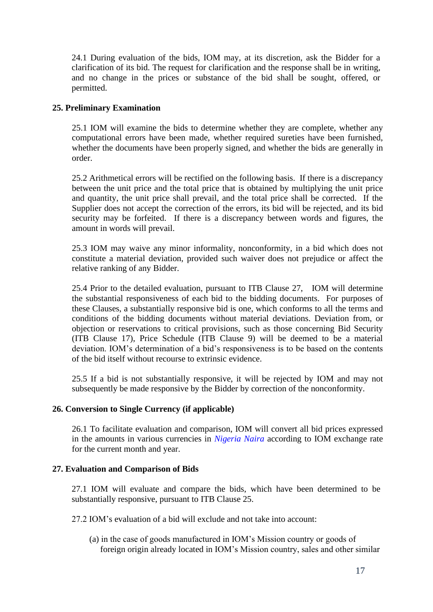24.1 During evaluation of the bids, IOM may, at its discretion, ask the Bidder for a clarification of its bid. The request for clarification and the response shall be in writing, and no change in the prices or substance of the bid shall be sought, offered, or permitted.

# <span id="page-16-0"></span>**25. Preliminary Examination**

25.1 IOM will examine the bids to determine whether they are complete, whether any computational errors have been made, whether required sureties have been furnished, whether the documents have been properly signed, and whether the bids are generally in order.

25.2 Arithmetical errors will be rectified on the following basis. If there is a discrepancy between the unit price and the total price that is obtained by multiplying the unit price and quantity, the unit price shall prevail, and the total price shall be corrected. If the Supplier does not accept the correction of the errors, its bid will be rejected, and its bid security may be forfeited. If there is a discrepancy between words and figures, the amount in words will prevail.

25.3 IOM may waive any minor informality, nonconformity, in a bid which does not constitute a material deviation, provided such waiver does not prejudice or affect the relative ranking of any Bidder.

25.4 Prior to the detailed evaluation, pursuant to ITB Clause 27, IOM will determine the substantial responsiveness of each bid to the bidding documents. For purposes of these Clauses, a substantially responsive bid is one, which conforms to all the terms and conditions of the bidding documents without material deviations. Deviation from, or objection or reservations to critical provisions, such as those concerning Bid Security (ITB Clause 17), Price Schedule (ITB Clause 9) will be deemed to be a material deviation. IOM's determination of a bid's responsiveness is to be based on the contents of the bid itself without recourse to extrinsic evidence.

25.5 If a bid is not substantially responsive, it will be rejected by IOM and may not subsequently be made responsive by the Bidder by correction of the nonconformity.

### <span id="page-16-1"></span>**26. Conversion to Single Currency (if applicable)**

26.1 To facilitate evaluation and comparison, IOM will convert all bid prices expressed in the amounts in various currencies in *Nigeria Naira* according to IOM exchange rate for the current month and year.

### <span id="page-16-2"></span>**27. Evaluation and Comparison of Bids**

27.1 IOM will evaluate and compare the bids, which have been determined to be substantially responsive, pursuant to ITB Clause 25.

27.2 IOM's evaluation of a bid will exclude and not take into account:

(a) in the case of goods manufactured in IOM's Mission country or goods of foreign origin already located in IOM's Mission country, sales and other similar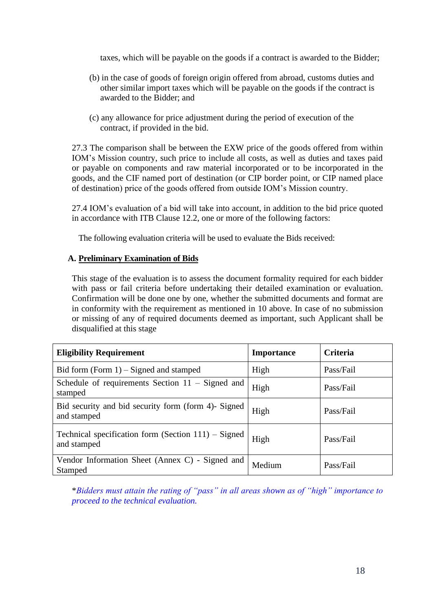taxes, which will be payable on the goods if a contract is awarded to the Bidder;

- (b) in the case of goods of foreign origin offered from abroad, customs duties and other similar import taxes which will be payable on the goods if the contract is awarded to the Bidder; and
- (c) any allowance for price adjustment during the period of execution of the contract, if provided in the bid.

27.3 The comparison shall be between the EXW price of the goods offered from within IOM's Mission country, such price to include all costs, as well as duties and taxes paid or payable on components and raw material incorporated or to be incorporated in the goods, and the CIF named port of destination (or CIP border point, or CIP named place of destination) price of the goods offered from outside IOM's Mission country.

27.4 IOM's evaluation of a bid will take into account, in addition to the bid price quoted in accordance with ITB Clause 12.2, one or more of the following factors:

The following evaluation criteria will be used to evaluate the Bids received:

# **A. Preliminary Examination of Bids**

This stage of the evaluation is to assess the document formality required for each bidder with pass or fail criteria before undertaking their detailed examination or evaluation. Confirmation will be done one by one, whether the submitted documents and format are in conformity with the requirement as mentioned in 10 above. In case of no submission or missing of any of required documents deemed as important, such Applicant shall be disqualified at this stage

| <b>Eligibility Requirement</b>                                        | <b>Importance</b> | <b>Criteria</b> |
|-----------------------------------------------------------------------|-------------------|-----------------|
| Bid form $(Form 1)$ – Signed and stamped                              | High              | Pass/Fail       |
| Schedule of requirements Section $11 -$ Signed and<br>stamped         | High              | Pass/Fail       |
| Bid security and bid security form (form 4)- Signed<br>and stamped    | High              | Pass/Fail       |
| Technical specification form (Section $111$ ) – Signed<br>and stamped | High              | Pass/Fail       |
| Vendor Information Sheet (Annex C) - Signed and<br>Stamped            | Medium            | Pass/Fail       |

\**Bidders must attain the rating of "pass" in all areas shown as of "high" importance to proceed to the technical evaluation.*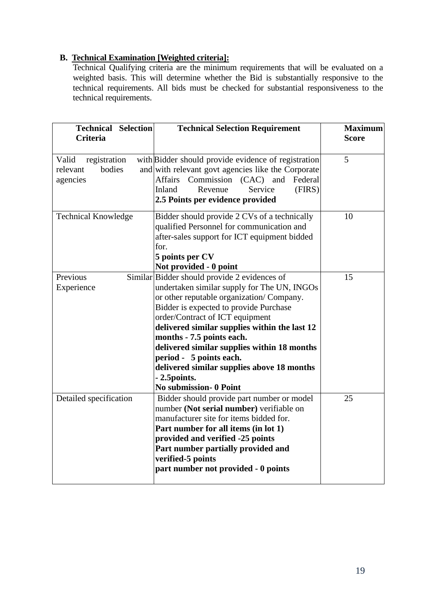# **B. Technical Examination [Weighted criteria]:**

Technical Qualifying criteria are the minimum requirements that will be evaluated on a weighted basis. This will determine whether the Bid is substantially responsive to the technical requirements. All bids must be checked for substantial responsiveness to the technical requirements.

| <b>Technical Selection</b><br><b>Criteria</b>           | <b>Technical Selection Requirement</b>                                                                                                                                                                                                                                                                                                                                                                                                                                 | <b>Maximum</b><br><b>Score</b> |
|---------------------------------------------------------|------------------------------------------------------------------------------------------------------------------------------------------------------------------------------------------------------------------------------------------------------------------------------------------------------------------------------------------------------------------------------------------------------------------------------------------------------------------------|--------------------------------|
| Valid<br>registration<br>bodies<br>relevant<br>agencies | with Bidder should provide evidence of registration<br>and with relevant govt agencies like the Corporate<br>Commission (CAC) and<br>Affairs<br>Federal<br>(FIRS)<br>Service<br>Inland<br>Revenue<br>2.5 Points per evidence provided                                                                                                                                                                                                                                  | 5                              |
| <b>Technical Knowledge</b>                              | Bidder should provide 2 CVs of a technically<br>qualified Personnel for communication and<br>after-sales support for ICT equipment bidded<br>for.<br>5 points per CV<br>Not provided - 0 point                                                                                                                                                                                                                                                                         | 10                             |
| Previous<br>Experience                                  | Similar Bidder should provide 2 evidences of<br>undertaken similar supply for The UN, INGOs<br>or other reputable organization/ Company.<br>Bidder is expected to provide Purchase<br>order/Contract of ICT equipment<br>delivered similar supplies within the last 12<br>months - 7.5 points each.<br>delivered similar supplies within 18 months<br>period - 5 points each.<br>delivered similar supplies above 18 months<br>- 2.5 points.<br>No submission- 0 Point | 15                             |
| Detailed specification                                  | Bidder should provide part number or model<br>number (Not serial number) verifiable on<br>manufacturer site for items bidded for.<br>Part number for all items (in lot 1)<br>provided and verified -25 points<br>Part number partially provided and<br>verified-5 points<br>part number not provided - 0 points                                                                                                                                                        | 25                             |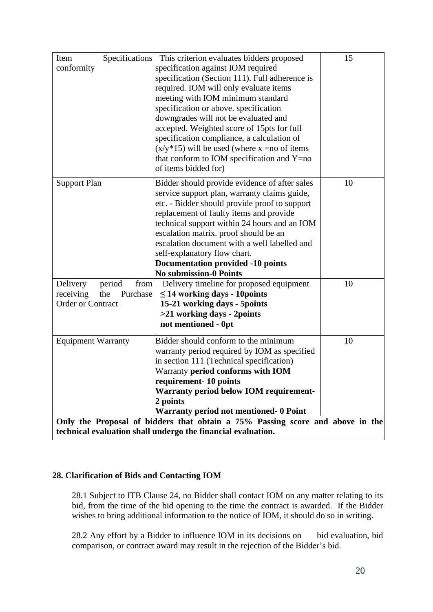| Specifications<br>Item<br>conformity                                                                                                          | This criterion evaluates bidders proposed<br>specification against IOM required<br>specification (Section 111). Full adherence is<br>required. IOM will only evaluate items<br>meeting with IOM minimum standard<br>specification or above. specification<br>downgrades will not be evaluated and<br>accepted. Weighted score of 15pts for full<br>specification compliance, a calculation of<br>$(x/y*15)$ will be used (where x = no of items<br>that conform to IOM specification and Y=no<br>of items bidded for) | 15 |  |  |  |  |
|-----------------------------------------------------------------------------------------------------------------------------------------------|-----------------------------------------------------------------------------------------------------------------------------------------------------------------------------------------------------------------------------------------------------------------------------------------------------------------------------------------------------------------------------------------------------------------------------------------------------------------------------------------------------------------------|----|--|--|--|--|
| <b>Support Plan</b>                                                                                                                           | Bidder should provide evidence of after sales<br>service support plan, warranty claims guide,<br>etc. - Bidder should provide proof to support<br>replacement of faulty items and provide<br>technical support within 24 hours and an IOM<br>escalation matrix. proof should be an<br>escalation document with a well labelled and<br>self-explanatory flow chart.<br><b>Documentation provided -10 points</b><br><b>No submission-0 Points</b>                                                                       | 10 |  |  |  |  |
| Delivery<br>period<br>from<br>receiving<br>the<br>Purchase<br>Order or Contract                                                               | Delivery timeline for proposed equipment<br>$\leq$ 14 working days - 10 points<br>15-21 working days - 5 points<br>>21 working days - 2points<br>not mentioned - 0pt                                                                                                                                                                                                                                                                                                                                                  | 10 |  |  |  |  |
| <b>Equipment Warranty</b>                                                                                                                     | Bidder should conform to the minimum<br>warranty period required by IOM as specified<br>in section 111 (Technical specification)<br>Warranty period conforms with IOM<br>requirement-10 points<br><b>Warranty period below IOM requirement-</b><br>2 points<br><b>Warranty period not mentioned- 0 Point</b>                                                                                                                                                                                                          | 10 |  |  |  |  |
| Only the Proposal of bidders that obtain a 75% Passing score and above in the<br>technical evaluation shall undergo the financial evaluation. |                                                                                                                                                                                                                                                                                                                                                                                                                                                                                                                       |    |  |  |  |  |

# <span id="page-19-0"></span>**28. Clarification of Bids and Contacting IOM**

28.1 Subject to ITB Clause 24, no Bidder shall contact IOM on any matter relating to its bid, from the time of the bid opening to the time the contract is awarded. If the Bidder wishes to bring additional information to the notice of IOM, it should do so in writing.

28.2 Any effort by a Bidder to influence IOM in its decisions on bid evaluation, bid comparison, or contract award may result in the rejection of the Bidder's bid.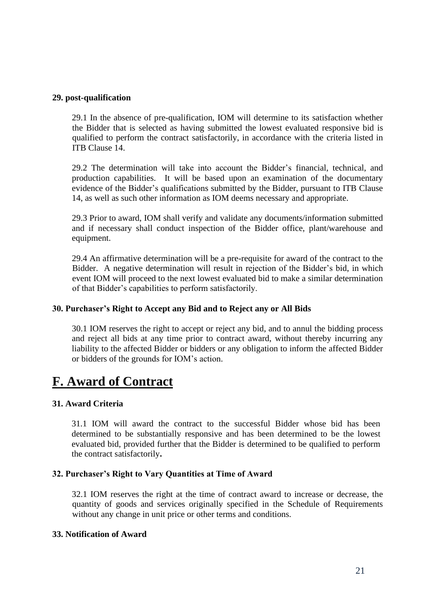### <span id="page-20-0"></span>**29. post-qualification**

29.1 In the absence of pre-qualification, IOM will determine to its satisfaction whether the Bidder that is selected as having submitted the lowest evaluated responsive bid is qualified to perform the contract satisfactorily, in accordance with the criteria listed in ITB Clause 14.

29.2 The determination will take into account the Bidder's financial, technical, and production capabilities. It will be based upon an examination of the documentary evidence of the Bidder's qualifications submitted by the Bidder, pursuant to ITB Clause 14, as well as such other information as IOM deems necessary and appropriate.

29.3 Prior to award, IOM shall verify and validate any documents/information submitted and if necessary shall conduct inspection of the Bidder office, plant/warehouse and equipment.

29.4 An affirmative determination will be a pre-requisite for award of the contract to the Bidder. A negative determination will result in rejection of the Bidder's bid, in which event IOM will proceed to the next lowest evaluated bid to make a similar determination of that Bidder's capabilities to perform satisfactorily.

### <span id="page-20-1"></span>**30. Purchaser's Right to Accept any Bid and to Reject any or All Bids**

30.1 IOM reserves the right to accept or reject any bid, and to annul the bidding process and reject all bids at any time prior to contract award, without thereby incurring any liability to the affected Bidder or bidders or any obligation to inform the affected Bidder or bidders of the grounds for IOM's action.

# <span id="page-20-2"></span>**F. Award of Contract**

### <span id="page-20-3"></span>**31. Award Criteria**

31.1 IOM will award the contract to the successful Bidder whose bid has been determined to be substantially responsive and has been determined to be the lowest evaluated bid, provided further that the Bidder is determined to be qualified to perform the contract satisfactorily**.**

### <span id="page-20-4"></span>**32. Purchaser's Right to Vary Quantities at Time of Award**

32.1 IOM reserves the right at the time of contract award to increase or decrease, the quantity of goods and services originally specified in the Schedule of Requirements without any change in unit price or other terms and conditions.

### <span id="page-20-5"></span>**33. Notification of Award**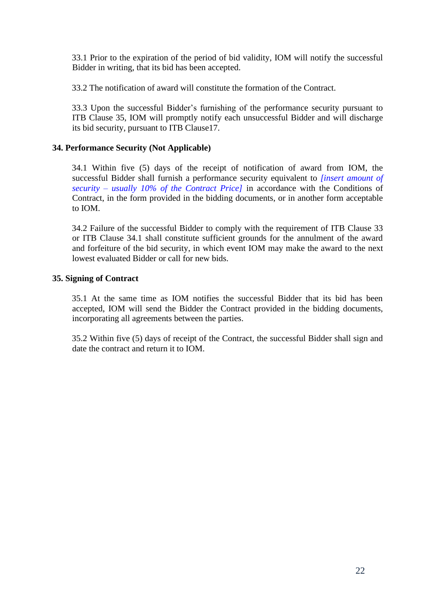33.1 Prior to the expiration of the period of bid validity, IOM will notify the successful Bidder in writing, that its bid has been accepted.

33.2 The notification of award will constitute the formation of the Contract.

33.3 Upon the successful Bidder's furnishing of the performance security pursuant to ITB Clause 35, IOM will promptly notify each unsuccessful Bidder and will discharge its bid security, pursuant to ITB Clause17.

# <span id="page-21-0"></span>**34. Performance Security (Not Applicable)**

34.1 Within five (5) days of the receipt of notification of award from IOM, the successful Bidder shall furnish a performance security equivalent to *[insert amount of security – usually 10% of the Contract Price]* in accordance with the Conditions of Contract, in the form provided in the bidding documents, or in another form acceptable to IOM.

34.2 Failure of the successful Bidder to comply with the requirement of ITB Clause 33 or ITB Clause 34.1 shall constitute sufficient grounds for the annulment of the award and forfeiture of the bid security, in which event IOM may make the award to the next lowest evaluated Bidder or call for new bids.

# <span id="page-21-1"></span>**35. Signing of Contract**

35.1 At the same time as IOM notifies the successful Bidder that its bid has been accepted, IOM will send the Bidder the Contract provided in the bidding documents, incorporating all agreements between the parties.

35.2 Within five (5) days of receipt of the Contract, the successful Bidder shall sign and date the contract and return it to IOM.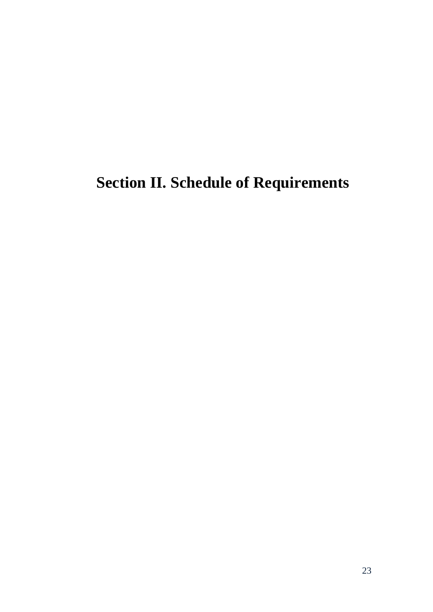# <span id="page-22-0"></span>**Section II. Schedule of Requirements**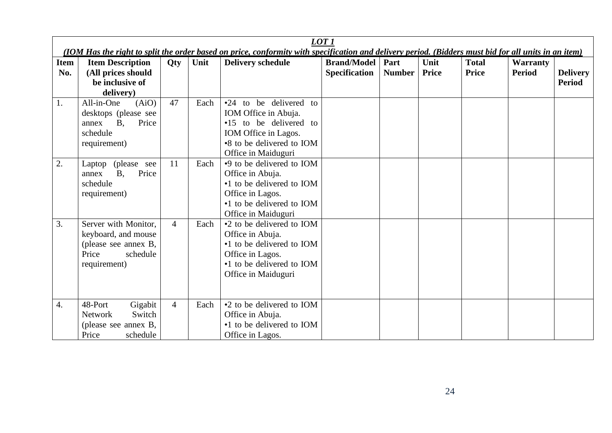|                    | LOT <sub>1</sub><br>(IOM Has the right to split the order based on price, conformity with specification and delivery period. (Bidders must bid for all units in an item) |                |      |                                                                                                                                                      |                                            |                       |                      |                              |                                  |                                  |
|--------------------|--------------------------------------------------------------------------------------------------------------------------------------------------------------------------|----------------|------|------------------------------------------------------------------------------------------------------------------------------------------------------|--------------------------------------------|-----------------------|----------------------|------------------------------|----------------------------------|----------------------------------|
| <b>Item</b><br>No. | <b>Item Description</b><br>(All prices should<br>be inclusive of<br>delivery)                                                                                            | Qty            | Unit | <b>Delivery schedule</b>                                                                                                                             | <b>Brand/Model</b><br><b>Specification</b> | Part<br><b>Number</b> | Unit<br><b>Price</b> | <b>Total</b><br><b>Price</b> | <b>Warranty</b><br><b>Period</b> | <b>Delivery</b><br><b>Period</b> |
| 1.                 | All-in-One<br>(AiO)<br>desktops (please see<br><b>B</b> ,<br>Price<br>annex<br>schedule<br>requirement)                                                                  | 47             | Each | •24 to be delivered to<br>IOM Office in Abuja.<br>•15 to be delivered to<br>IOM Office in Lagos.<br>•8 to be delivered to IOM<br>Office in Maiduguri |                                            |                       |                      |                              |                                  |                                  |
| 2.                 | (please see<br>Laptop<br>Price<br><b>B.</b><br>annex<br>schedule<br>requirement)                                                                                         | 11             | Each | •9 to be delivered to IOM<br>Office in Abuja.<br>•1 to be delivered to IOM<br>Office in Lagos.<br>•1 to be delivered to IOM<br>Office in Maiduguri   |                                            |                       |                      |                              |                                  |                                  |
| 3.                 | Server with Monitor,<br>keyboard, and mouse<br>(please see annex B,<br>Price<br>schedule<br>requirement)                                                                 | $\overline{4}$ | Each | •2 to be delivered to IOM<br>Office in Abuja.<br>•1 to be delivered to IOM<br>Office in Lagos.<br>•1 to be delivered to IOM<br>Office in Maiduguri   |                                            |                       |                      |                              |                                  |                                  |
| 4.                 | Gigabit<br>48-Port<br>Switch<br><b>Network</b><br>(please see annex B,<br>Price<br>schedule                                                                              | $\overline{4}$ | Each | •2 to be delivered to IOM<br>Office in Abuja.<br>•1 to be delivered to IOM<br>Office in Lagos.                                                       |                                            |                       |                      |                              |                                  |                                  |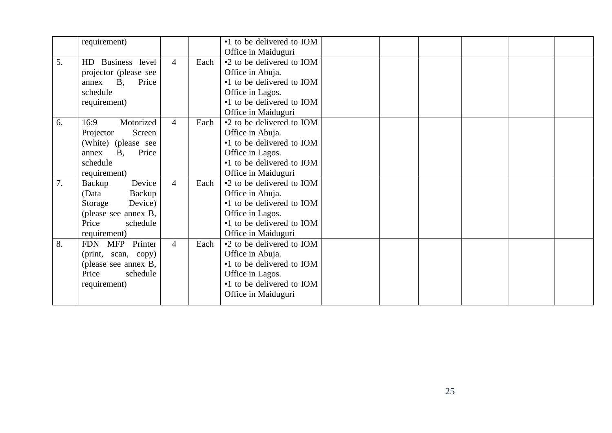|    | requirement)                                                                                                               |                |      | •1 to be delivered to IOM<br>Office in Maiduguri                                                                                                   |  |  |  |
|----|----------------------------------------------------------------------------------------------------------------------------|----------------|------|----------------------------------------------------------------------------------------------------------------------------------------------------|--|--|--|
| 5. | HD Business level<br>projector (please see<br><b>B</b> ,<br>Price<br>annex<br>schedule<br>requirement)                     | $\overline{4}$ | Each | •2 to be delivered to IOM<br>Office in Abuja.<br>•1 to be delivered to IOM<br>Office in Lagos.<br>•1 to be delivered to IOM<br>Office in Maiduguri |  |  |  |
| 6. | Motorized<br>16:9<br>Screen<br>Projector<br>(White) (please see<br><b>B.</b><br>Price<br>annex<br>schedule<br>requirement) | $\overline{4}$ | Each | •2 to be delivered to IOM<br>Office in Abuja.<br>•1 to be delivered to IOM<br>Office in Lagos.<br>•1 to be delivered to IOM<br>Office in Maiduguri |  |  |  |
| 7. | Device<br>Backup<br>Backup<br>(Data<br>Device)<br>Storage<br>(please see annex B,<br>Price<br>schedule<br>requirement)     | $\overline{4}$ | Each | •2 to be delivered to IOM<br>Office in Abuja.<br>•1 to be delivered to IOM<br>Office in Lagos.<br>•1 to be delivered to IOM<br>Office in Maiduguri |  |  |  |
| 8. | FDN MFP<br>Printer<br>(print, scan, copy)<br>(please see annex B,<br>Price<br>schedule<br>requirement)                     | $\overline{4}$ | Each | •2 to be delivered to IOM<br>Office in Abuja.<br>•1 to be delivered to IOM<br>Office in Lagos.<br>•1 to be delivered to IOM<br>Office in Maiduguri |  |  |  |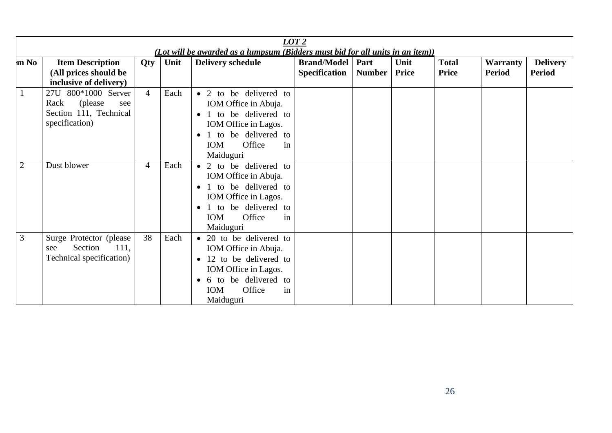|                | LOT2<br>(Lot will be awarded as a lumpsum (Bidders must bid for all units in an item))     |                |      |                                                                                                                                                                                               |                                            |                       |               |                              |                                  |                                  |
|----------------|--------------------------------------------------------------------------------------------|----------------|------|-----------------------------------------------------------------------------------------------------------------------------------------------------------------------------------------------|--------------------------------------------|-----------------------|---------------|------------------------------|----------------------------------|----------------------------------|
| m No           | <b>Item Description</b><br>(All prices should be<br>inclusive of delivery)                 | Qty            | Unit | <b>Delivery schedule</b>                                                                                                                                                                      | <b>Brand/Model</b><br><b>Specification</b> | Part<br><b>Number</b> | Unit<br>Price | <b>Total</b><br><b>Price</b> | <b>Warranty</b><br><b>Period</b> | <b>Delivery</b><br><b>Period</b> |
| $\mathbf{1}$   | 27U 800*1000 Server<br>(please)<br>Rack<br>see<br>Section 111, Technical<br>specification) | $\overline{4}$ | Each | • 2 to be delivered to<br>IOM Office in Abuja.<br>1 to be delivered to<br>$\bullet$<br>IOM Office in Lagos.<br>1 to be delivered to<br>$\bullet$<br>Office<br><b>IOM</b><br>in<br>Maiduguri   |                                            |                       |               |                              |                                  |                                  |
| $\overline{2}$ | Dust blower                                                                                | $\overline{4}$ | Each | • 2 to be delivered to<br>IOM Office in Abuja.<br>1 to be delivered to<br>IOM Office in Lagos.<br>1 to be delivered to<br>$\bullet$<br><b>IOM</b><br>Office<br>in<br>Maiduguri                |                                            |                       |               |                              |                                  |                                  |
| $\mathfrak{Z}$ | Surge Protector (please<br>Section<br>111,<br>see<br>Technical specification)              | 38             | Each | • 20 to be delivered to<br>IOM Office in Abuja.<br>12 to be delivered to<br>$\bullet$<br>IOM Office in Lagos.<br>6 to be delivered to<br>$\bullet$<br><b>IOM</b><br>Office<br>in<br>Maiduguri |                                            |                       |               |                              |                                  |                                  |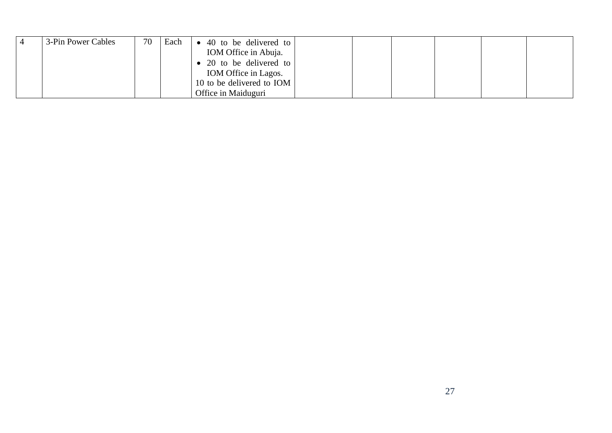| 3-Pin Power Cables | 70 | Each | 40 to be delivered to<br>IOM Office in Abuja.<br>20 to be delivered to |  |  |  |
|--------------------|----|------|------------------------------------------------------------------------|--|--|--|
|                    |    |      | IOM Office in Lagos.                                                   |  |  |  |
|                    |    |      | 10 to be delivered to IOM                                              |  |  |  |
|                    |    |      | Office in Maiduguri                                                    |  |  |  |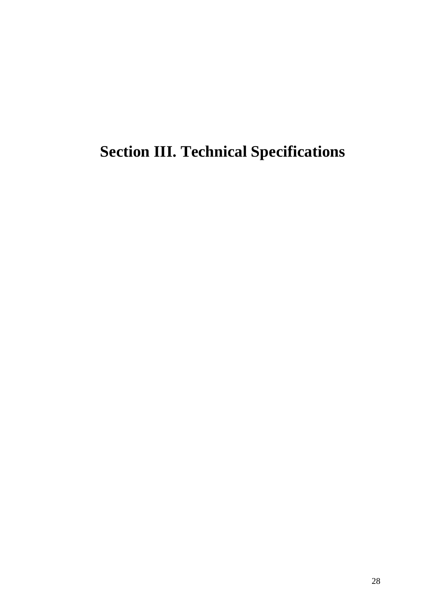# <span id="page-27-0"></span>**Section III. Technical Specifications**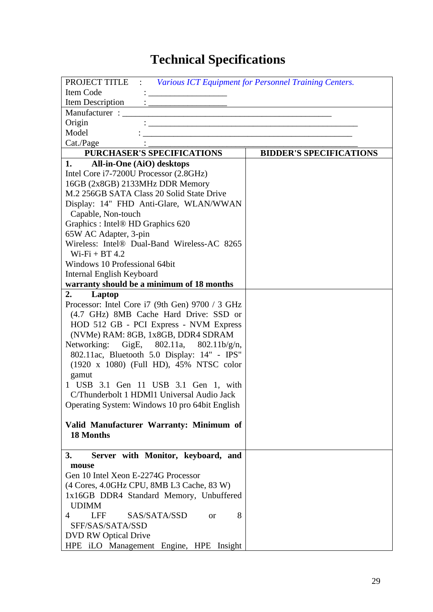# **Technical Specifications**

| <b>PROJECT TITLE : Various ICT Equipment for Personnel Training Centers.</b>           |                                |
|----------------------------------------------------------------------------------------|--------------------------------|
| Item Code                                                                              |                                |
|                                                                                        |                                |
|                                                                                        |                                |
| Origin<br><u> 1989 - Johann Barbara, martin amerikan bahasa da</u>                     |                                |
| Model                                                                                  |                                |
| Cat./Page                                                                              |                                |
| <b>PURCHASER'S SPECIFICATIONS</b>                                                      | <b>BIDDER'S SPECIFICATIONS</b> |
| 1.<br>All-in-One (AiO) desktops                                                        |                                |
| Intel Core i7-7200U Processor (2.8GHz)                                                 |                                |
| 16GB (2x8GB) 2133MHz DDR Memory                                                        |                                |
| M.2 256GB SATA Class 20 Solid State Drive                                              |                                |
| Display: 14" FHD Anti-Glare, WLAN/WWAN                                                 |                                |
| Capable, Non-touch                                                                     |                                |
| Graphics: Intel® HD Graphics 620                                                       |                                |
| 65W AC Adapter, 3-pin                                                                  |                                |
| Wireless: Intel® Dual-Band Wireless-AC 8265                                            |                                |
| $Wi-Fi + BT 4.2$                                                                       |                                |
| Windows 10 Professional 64bit                                                          |                                |
| Internal English Keyboard<br>warranty should be a minimum of 18 months                 |                                |
| 2.                                                                                     |                                |
| Laptop<br>Processor: Intel Core i7 (9th Gen) 9700 / 3 GHz                              |                                |
| (4.7 GHz) 8MB Cache Hard Drive: SSD or                                                 |                                |
| HOD 512 GB - PCI Express - NVM Express                                                 |                                |
| (NVMe) RAM: 8GB, 1x8GB, DDR4 SDRAM                                                     |                                |
| Networking: GigE, 802.11a, 802.11b/g/n,                                                |                                |
|                                                                                        |                                |
| 802.11ac, Bluetooth 5.0 Display: 14" - IPS"<br>(1920 x 1080) (Full HD), 45% NTSC color |                                |
| gamut                                                                                  |                                |
| 1 USB 3.1 Gen 11 USB 3.1 Gen 1, with                                                   |                                |
| C/Thunderbolt 1 HDM11 Universal Audio Jack                                             |                                |
| Operating System: Windows 10 pro 64bit English                                         |                                |
|                                                                                        |                                |
| Valid Manufacturer Warranty: Minimum of                                                |                                |
| 18 Months                                                                              |                                |
|                                                                                        |                                |
| Server with Monitor, keyboard, and<br>3.                                               |                                |
| mouse                                                                                  |                                |
| Gen 10 Intel Xeon E-2274G Processor                                                    |                                |
| (4 Cores, 4.0GHz CPU, 8MB L3 Cache, 83 W)                                              |                                |
| 1x16GB DDR4 Standard Memory, Unbuffered                                                |                                |
| <b>UDIMM</b>                                                                           |                                |
| SAS/SATA/SSD<br>8<br>4<br><b>LFF</b><br><sub>or</sub>                                  |                                |
| SFF/SAS/SATA/SSD                                                                       |                                |
| <b>DVD RW Optical Drive</b>                                                            |                                |
| HPE iLO Management Engine, HPE Insight                                                 |                                |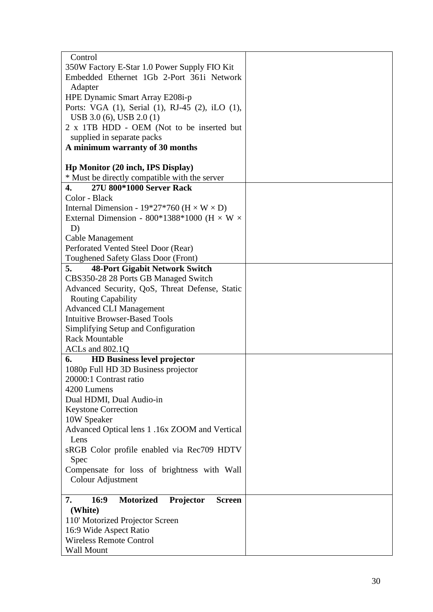| Control                                                      |  |
|--------------------------------------------------------------|--|
|                                                              |  |
| 350W Factory E-Star 1.0 Power Supply FIO Kit                 |  |
| Embedded Ethernet 1Gb 2-Port 361i Network                    |  |
| Adapter                                                      |  |
| HPE Dynamic Smart Array E208i-p                              |  |
| Ports: VGA (1), Serial (1), RJ-45 (2), iLO (1),              |  |
| USB 3.0 (6), USB 2.0 (1)                                     |  |
| 2 x 1TB HDD - OEM (Not to be inserted but                    |  |
| supplied in separate packs                                   |  |
| A minimum warranty of 30 months                              |  |
|                                                              |  |
| Hp Monitor (20 inch, IPS Display)                            |  |
| * Must be directly compatible with the server                |  |
| 27U 800*1000 Server Rack<br>4.                               |  |
|                                                              |  |
| Color - Black                                                |  |
| Internal Dimension - 19*27*760 ( $H \times W \times D$ )     |  |
| External Dimension - 800*1388*1000 (H $\times$ W $\times$    |  |
| D)                                                           |  |
| Cable Management                                             |  |
| Perforated Vented Steel Door (Rear)                          |  |
| Toughened Safety Glass Door (Front)                          |  |
| <b>48-Port Gigabit Network Switch</b><br>5.                  |  |
| CBS350-28 28 Ports GB Managed Switch                         |  |
| Advanced Security, QoS, Threat Defense, Static               |  |
| <b>Routing Capability</b>                                    |  |
| <b>Advanced CLI Management</b>                               |  |
| <b>Intuitive Browser-Based Tools</b>                         |  |
| Simplifying Setup and Configuration                          |  |
| <b>Rack Mountable</b>                                        |  |
| ACLs and 802.1Q                                              |  |
| <b>HD Business level projector</b><br>6.                     |  |
| 1080p Full HD 3D Business projector                          |  |
|                                                              |  |
| 20000:1 Contrast ratio                                       |  |
| 4200 Lumens                                                  |  |
| Dual HDMI, Dual Audio-in                                     |  |
| <b>Keystone Correction</b>                                   |  |
| 10W Speaker                                                  |  |
| Advanced Optical lens 1 .16x ZOOM and Vertical               |  |
| Lens                                                         |  |
| sRGB Color profile enabled via Rec709 HDTV                   |  |
| Spec                                                         |  |
| Compensate for loss of brightness with Wall                  |  |
| Colour Adjustment                                            |  |
|                                                              |  |
| 16:9<br><b>Motorized</b><br>7.<br>Projector<br><b>Screen</b> |  |
| (White)                                                      |  |
| 110' Motorized Projector Screen                              |  |
| 16:9 Wide Aspect Ratio                                       |  |
| <b>Wireless Remote Control</b>                               |  |
| Wall Mount                                                   |  |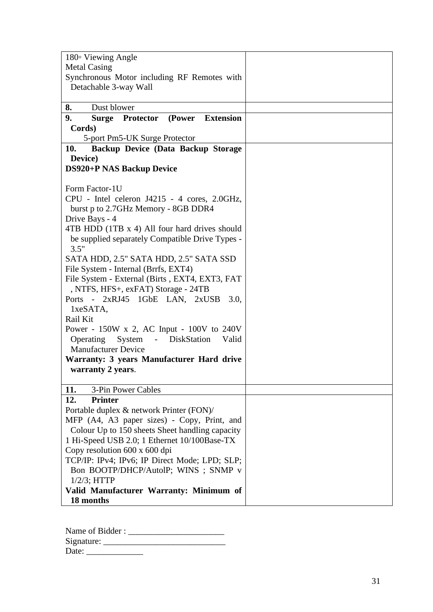| $180°$ Viewing Angle                                  |  |
|-------------------------------------------------------|--|
| <b>Metal Casing</b>                                   |  |
| Synchronous Motor including RF Remotes with           |  |
| Detachable 3-way Wall                                 |  |
|                                                       |  |
| 8.<br>Dust blower                                     |  |
| 9.<br>Surge Protector (Power Extension                |  |
| Cords)                                                |  |
| 5-port Pm5-UK Surge Protector                         |  |
| Backup Device (Data Backup Storage<br>10.             |  |
| Device)                                               |  |
| <b>DS920+P NAS Backup Device</b>                      |  |
|                                                       |  |
| Form Factor-1U                                        |  |
| CPU - Intel celeron J4215 - 4 cores, 2.0GHz,          |  |
| burst p to 2.7GHz Memory - 8GB DDR4                   |  |
| Drive Bays - 4                                        |  |
| 4TB HDD (1TB x 4) All four hard drives should         |  |
| be supplied separately Compatible Drive Types -       |  |
| 3.5"                                                  |  |
| SATA HDD, 2.5" SATA HDD, 2.5" SATA SSD                |  |
| File System - Internal (Brrfs, EXT4)                  |  |
| File System - External (Birts, EXT4, EXT3, FAT        |  |
| , NTFS, HFS+, exFAT) Storage - 24TB                   |  |
| Ports - 2xRJ45 1GbE LAN, 2xUSB<br>3.0,<br>1xeSATA,    |  |
| Rail Kit                                              |  |
| Power - $150W \times 2$ , AC Input - $100V$ to $240V$ |  |
| System<br>- DiskStation<br>Operating<br>Valid         |  |
| <b>Manufacturer Device</b>                            |  |
| Warranty: 3 years Manufacturer Hard drive             |  |
| warranty 2 years.                                     |  |
|                                                       |  |
| 11.<br>3-Pin Power Cables                             |  |
| 12.<br><b>Printer</b>                                 |  |
| Portable duplex & network Printer (FON)/              |  |
| MFP (A4, A3 paper sizes) - Copy, Print, and           |  |
| Colour Up to 150 sheets Sheet handling capacity       |  |
| 1 Hi-Speed USB 2.0; 1 Ethernet 10/100Base-TX          |  |
| Copy resolution 600 x 600 dpi                         |  |
| TCP/IP: IPv4; IPv6; IP Direct Mode; LPD; SLP;         |  |
| Bon BOOTP/DHCP/AutolP; WINS; SNMP v                   |  |
| $1/2/3$ ; HTTP                                        |  |
| Valid Manufacturer Warranty: Minimum of               |  |
| 18 months                                             |  |

Name of Bidder : \_\_\_\_\_\_\_\_\_\_\_\_\_\_\_\_\_\_\_\_\_ \_ Signature: \_\_\_\_\_\_\_\_\_\_\_\_\_\_\_\_\_\_\_\_\_\_\_\_\_\_\_\_ Date: \_\_\_\_\_\_\_\_\_\_\_\_\_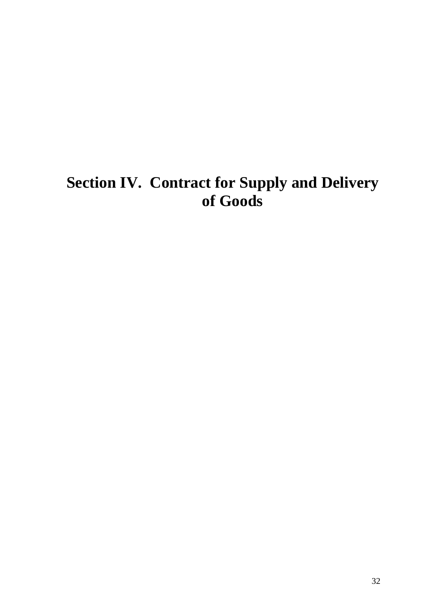# <span id="page-31-0"></span>**Section IV. Contract for Supply and Delivery of Goods**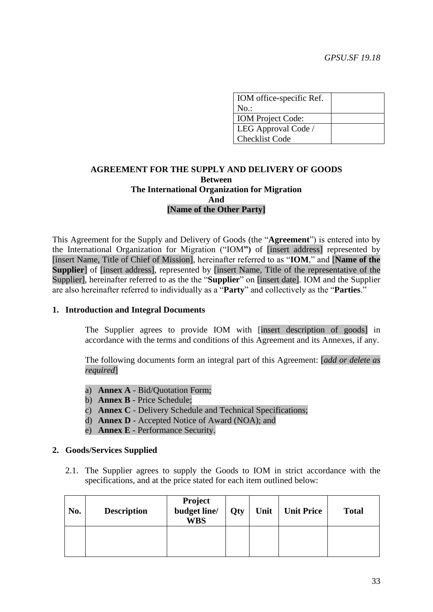| IOM office-specific Ref. |  |
|--------------------------|--|
| $No.$ :                  |  |
| <b>IOM</b> Project Code: |  |
| LEG Approval Code /      |  |
| <b>Checklist Code</b>    |  |

# **AGREEMENT FOR THE SUPPLY AND DELIVERY OF GOODS Between The International Organization for Migration And [Name of the Other Party]**

This Agreement for the Supply and Delivery of Goods (the "**Agreement**") is entered into by the International Organization for Migration ("IOM**")** of [insert address] represented by [insert Name, Title of Chief of Mission], hereinafter referred to as "**IOM**," and [**Name of the Supplier** of [insert address], represented by [insert Name, Title of the representative of the Supplier], hereinafter referred to as the the "**Supplier**" on [insert date]. IOM and the Supplier are also hereinafter referred to individually as a "**Party**" and collectively as the "**Parties**."

### **1. Introduction and Integral Documents**

The Supplier agrees to provide IOM with [insert description of goods] in accordance with the terms and conditions of this Agreement and its Annexes, if any.

The following documents form an integral part of this Agreement: [*add or delete as required*]

- a) **Annex A** Bid/Quotation Form;
- b) **Annex B** Price Schedule;
- c) **Annex C** Delivery Schedule and Technical Specifications;
- d) **Annex D** Accepted Notice of Award (NOA); and
- e) **Annex E** Performance Security.

#### **2. Goods/Services Supplied**

2.1. The Supplier agrees to supply the Goods to IOM in strict accordance with the specifications, and at the price stated for each item outlined below:

| No. | <b>Description</b> | <b>Project</b><br>budget line/<br><b>WBS</b> | <b>Qty</b> | Unit | <b>Unit Price</b> | <b>Total</b> |
|-----|--------------------|----------------------------------------------|------------|------|-------------------|--------------|
|     |                    |                                              |            |      |                   |              |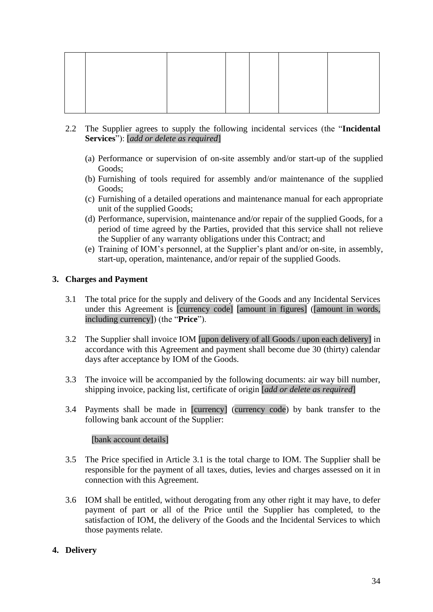- 2.2 The Supplier agrees to supply the following incidental services (the "**Incidental Services**"): [*add or delete as required*]
	- (a) Performance or supervision of on-site assembly and/or start-up of the supplied Goods;
	- (b) Furnishing of tools required for assembly and/or maintenance of the supplied Goods;
	- (c) Furnishing of a detailed operations and maintenance manual for each appropriate unit of the supplied Goods;
	- (d) Performance, supervision, maintenance and/or repair of the supplied Goods, for a period of time agreed by the Parties, provided that this service shall not relieve the Supplier of any warranty obligations under this Contract; and
	- (e) Training of IOM's personnel, at the Supplier's plant and/or on-site, in assembly, start-up, operation, maintenance, and/or repair of the supplied Goods.

# **3. Charges and Payment**

- 3.1 The total price for the supply and delivery of the Goods and any Incidental Services under this Agreement is [currency code] [amount in figures] ([amount in words, including currency]) (the "**Price**").
- 3.2 The Supplier shall invoice IOM [upon delivery of all Goods / upon each delivery] in accordance with this Agreement and payment shall become due 30 (thirty) calendar days after acceptance by IOM of the Goods.
- 3.3 The invoice will be accompanied by the following documents: air way bill number, shipping invoice, packing list, certificate of origin [*add or delete as required*]
- 3.4 Payments shall be made in [currency] (currency code) by bank transfer to the following bank account of the Supplier:

# [bank account details]

- 3.5 The Price specified in Article 3.1 is the total charge to IOM. The Supplier shall be responsible for the payment of all taxes, duties, levies and charges assessed on it in connection with this Agreement.
- 3.6 IOM shall be entitled, without derogating from any other right it may have, to defer payment of part or all of the Price until the Supplier has completed, to the satisfaction of IOM, the delivery of the Goods and the Incidental Services to which those payments relate.

# **4. Delivery**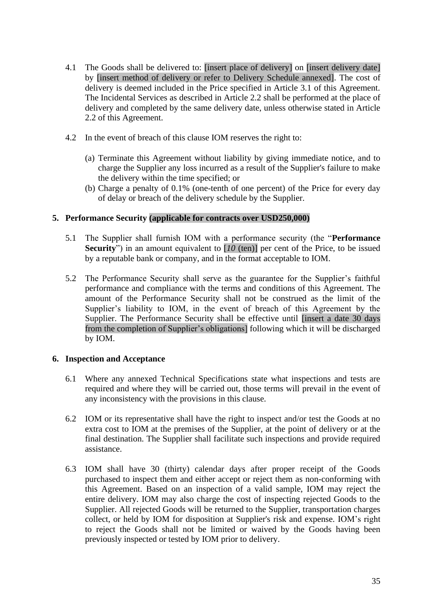- 4.1 The Goods shall be delivered to: [insert place of delivery] on [insert delivery date] by [insert method of delivery or refer to Delivery Schedule annexed]. The cost of delivery is deemed included in the Price specified in Article 3.1 of this Agreement. The Incidental Services as described in Article 2.2 shall be performed at the place of delivery and completed by the same delivery date, unless otherwise stated in Article 2.2 of this Agreement.
- 4.2 In the event of breach of this clause IOM reserves the right to:
	- (a) Terminate this Agreement without liability by giving immediate notice, and to charge the Supplier any loss incurred as a result of the Supplier's failure to make the delivery within the time specified; or
	- (b) Charge a penalty of 0.1% (one-tenth of one percent) of the Price for every day of delay or breach of the delivery schedule by the Supplier.

# **5. Performance Security (applicable for contracts over USD250,000)**

- 5.1 The Supplier shall furnish IOM with a performance security (the "**Performance Security**") in an amount equivalent to [*10* (ten)] per cent of the Price, to be issued by a reputable bank or company, and in the format acceptable to IOM.
- 5.2 The Performance Security shall serve as the guarantee for the Supplier's faithful performance and compliance with the terms and conditions of this Agreement. The amount of the Performance Security shall not be construed as the limit of the Supplier's liability to IOM, in the event of breach of this Agreement by the Supplier. The Performance Security shall be effective until [insert a date 30 days from the completion of Supplier's obligations] following which it will be discharged by IOM.

### **6. Inspection and Acceptance**

- 6.1 Where any annexed Technical Specifications state what inspections and tests are required and where they will be carried out, those terms will prevail in the event of any inconsistency with the provisions in this clause.
- 6.2 IOM or its representative shall have the right to inspect and/or test the Goods at no extra cost to IOM at the premises of the Supplier, at the point of delivery or at the final destination. The Supplier shall facilitate such inspections and provide required assistance.
- 6.3 IOM shall have 30 (thirty) calendar days after proper receipt of the Goods purchased to inspect them and either accept or reject them as non-conforming with this Agreement. Based on an inspection of a valid sample, IOM may reject the entire delivery. IOM may also charge the cost of inspecting rejected Goods to the Supplier. All rejected Goods will be returned to the Supplier, transportation charges collect, or held by IOM for disposition at Supplier's risk and expense. IOM's right to reject the Goods shall not be limited or waived by the Goods having been previously inspected or tested by IOM prior to delivery.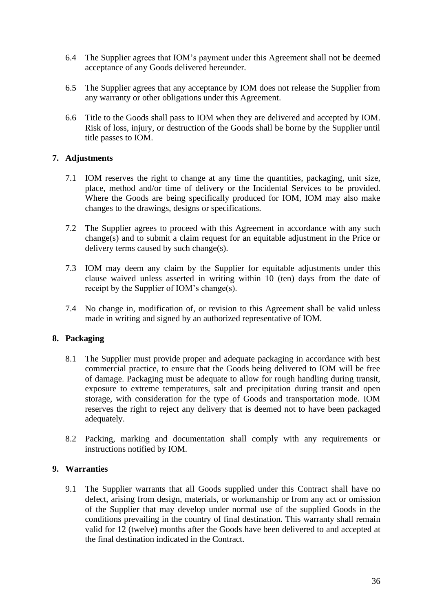- 6.4 The Supplier agrees that IOM's payment under this Agreement shall not be deemed acceptance of any Goods delivered hereunder.
- 6.5 The Supplier agrees that any acceptance by IOM does not release the Supplier from any warranty or other obligations under this Agreement.
- 6.6 Title to the Goods shall pass to IOM when they are delivered and accepted by IOM. Risk of loss, injury, or destruction of the Goods shall be borne by the Supplier until title passes to IOM.

# **7. Adjustments**

- 7.1 IOM reserves the right to change at any time the quantities, packaging, unit size, place, method and/or time of delivery or the Incidental Services to be provided. Where the Goods are being specifically produced for IOM, IOM may also make changes to the drawings, designs or specifications.
- 7.2 The Supplier agrees to proceed with this Agreement in accordance with any such change(s) and to submit a claim request for an equitable adjustment in the Price or delivery terms caused by such change(s).
- 7.3 IOM may deem any claim by the Supplier for equitable adjustments under this clause waived unless asserted in writing within 10 (ten) days from the date of receipt by the Supplier of IOM's change(s).
- 7.4 No change in, modification of, or revision to this Agreement shall be valid unless made in writing and signed by an authorized representative of IOM.

### **8. Packaging**

- 8.1 The Supplier must provide proper and adequate packaging in accordance with best commercial practice, to ensure that the Goods being delivered to IOM will be free of damage. Packaging must be adequate to allow for rough handling during transit, exposure to extreme temperatures, salt and precipitation during transit and open storage, with consideration for the type of Goods and transportation mode. IOM reserves the right to reject any delivery that is deemed not to have been packaged adequately.
- 8.2 Packing, marking and documentation shall comply with any requirements or instructions notified by IOM.

### **9. Warranties**

9.1 The Supplier warrants that all Goods supplied under this Contract shall have no defect, arising from design, materials, or workmanship or from any act or omission of the Supplier that may develop under normal use of the supplied Goods in the conditions prevailing in the country of final destination. This warranty shall remain valid for 12 (twelve) months after the Goods have been delivered to and accepted at the final destination indicated in the Contract.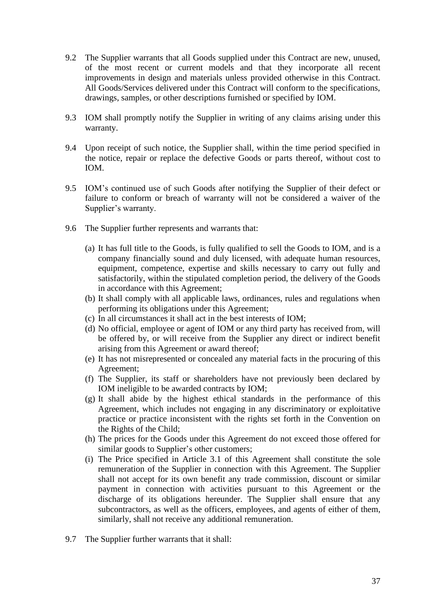- 9.2 The Supplier warrants that all Goods supplied under this Contract are new, unused, of the most recent or current models and that they incorporate all recent improvements in design and materials unless provided otherwise in this Contract. All Goods/Services delivered under this Contract will conform to the specifications, drawings, samples, or other descriptions furnished or specified by IOM.
- 9.3 IOM shall promptly notify the Supplier in writing of any claims arising under this warranty.
- 9.4 Upon receipt of such notice, the Supplier shall, within the time period specified in the notice, repair or replace the defective Goods or parts thereof, without cost to IOM.
- 9.5 IOM's continued use of such Goods after notifying the Supplier of their defect or failure to conform or breach of warranty will not be considered a waiver of the Supplier's warranty.
- 9.6 The Supplier further represents and warrants that:
	- (a) It has full title to the Goods, is fully qualified to sell the Goods to IOM, and is a company financially sound and duly licensed, with adequate human resources, equipment, competence, expertise and skills necessary to carry out fully and satisfactorily, within the stipulated completion period, the delivery of the Goods in accordance with this Agreement;
	- (b) It shall comply with all applicable laws, ordinances, rules and regulations when performing its obligations under this Agreement;
	- (c) In all circumstances it shall act in the best interests of IOM;
	- (d) No official, employee or agent of IOM or any third party has received from, will be offered by, or will receive from the Supplier any direct or indirect benefit arising from this Agreement or award thereof;
	- (e) It has not misrepresented or concealed any material facts in the procuring of this Agreement;
	- (f) The Supplier, its staff or shareholders have not previously been declared by IOM ineligible to be awarded contracts by IOM;
	- (g) It shall abide by the highest ethical standards in the performance of this Agreement, which includes not engaging in any discriminatory or exploitative practice or practice inconsistent with the rights set forth in the Convention on the Rights of the Child;
	- (h) The prices for the Goods under this Agreement do not exceed those offered for similar goods to Supplier's other customers;
	- (i) The Price specified in Article 3.1 of this Agreement shall constitute the sole remuneration of the Supplier in connection with this Agreement. The Supplier shall not accept for its own benefit any trade commission, discount or similar payment in connection with activities pursuant to this Agreement or the discharge of its obligations hereunder. The Supplier shall ensure that any subcontractors, as well as the officers, employees, and agents of either of them, similarly, shall not receive any additional remuneration.
- 9.7 The Supplier further warrants that it shall: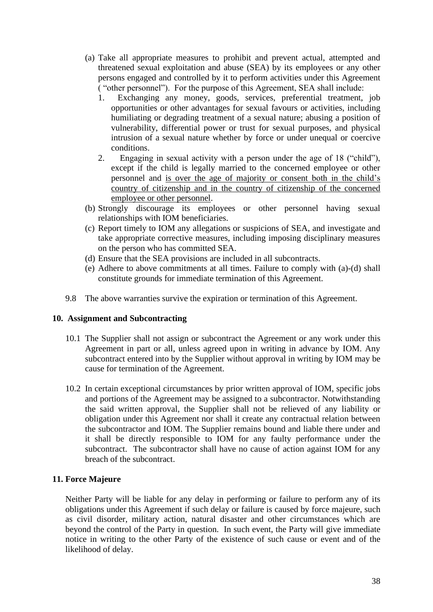- (a) Take all appropriate measures to prohibit and prevent actual, attempted and threatened sexual exploitation and abuse (SEA) by its employees or any other persons engaged and controlled by it to perform activities under this Agreement ( "other personnel"). For the purpose of this Agreement, SEA shall include:
	- 1. Exchanging any money, goods, services, preferential treatment, job opportunities or other advantages for sexual favours or activities, including humiliating or degrading treatment of a sexual nature; abusing a position of vulnerability, differential power or trust for sexual purposes, and physical intrusion of a sexual nature whether by force or under unequal or coercive conditions.
	- 2. Engaging in sexual activity with a person under the age of 18 ("child"), except if the child is legally married to the concerned employee or other personnel and is over the age of majority or consent both in the child's country of citizenship and in the country of citizenship of the concerned employee or other personnel.
- (b) Strongly discourage its employees or other personnel having sexual relationships with IOM beneficiaries.
- (c) Report timely to IOM any allegations or suspicions of SEA, and investigate and take appropriate corrective measures, including imposing disciplinary measures on the person who has committed SEA.
- (d) Ensure that the SEA provisions are included in all subcontracts.
- (e) Adhere to above commitments at all times. Failure to comply with (a)-(d) shall constitute grounds for immediate termination of this Agreement.
- 9.8 The above warranties survive the expiration or termination of this Agreement.

### **10. Assignment and Subcontracting**

- 10.1 The Supplier shall not assign or subcontract the Agreement or any work under this Agreement in part or all, unless agreed upon in writing in advance by IOM. Any subcontract entered into by the Supplier without approval in writing by IOM may be cause for termination of the Agreement.
- 10.2 In certain exceptional circumstances by prior written approval of IOM, specific jobs and portions of the Agreement may be assigned to a subcontractor. Notwithstanding the said written approval, the Supplier shall not be relieved of any liability or obligation under this Agreement nor shall it create any contractual relation between the subcontractor and IOM. The Supplier remains bound and liable there under and it shall be directly responsible to IOM for any faulty performance under the subcontract. The subcontractor shall have no cause of action against IOM for any breach of the subcontract.

# **11. Force Majeure**

Neither Party will be liable for any delay in performing or failure to perform any of its obligations under this Agreement if such delay or failure is caused by force majeure, such as civil disorder, military action, natural disaster and other circumstances which are beyond the control of the Party in question. In such event, the Party will give immediate notice in writing to the other Party of the existence of such cause or event and of the likelihood of delay.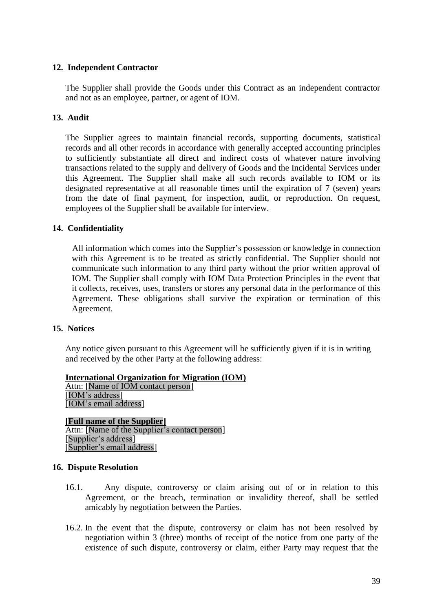# **12. Independent Contractor**

The Supplier shall provide the Goods under this Contract as an independent contractor and not as an employee, partner, or agent of IOM.

# **13. Audit**

The Supplier agrees to maintain financial records, supporting documents, statistical records and all other records in accordance with generally accepted accounting principles to sufficiently substantiate all direct and indirect costs of whatever nature involving transactions related to the supply and delivery of Goods and the Incidental Services under this Agreement. The Supplier shall make all such records available to IOM or its designated representative at all reasonable times until the expiration of 7 (seven) years from the date of final payment, for inspection, audit, or reproduction. On request, employees of the Supplier shall be available for interview.

# **14. Confidentiality**

All information which comes into the Supplier's possession or knowledge in connection with this Agreement is to be treated as strictly confidential. The Supplier should not communicate such information to any third party without the prior written approval of IOM. The Supplier shall comply with IOM Data Protection Principles in the event that it collects, receives, uses, transfers or stores any personal data in the performance of this Agreement. These obligations shall survive the expiration or termination of this Agreement.

### **15. Notices**

Any notice given pursuant to this Agreement will be sufficiently given if it is in writing and received by the other Party at the following address:

**International Organization for Migration (IOM)** Attn: [Name of IOM contact person] [IOM's address] [IOM's email address]

**[Full name of the Supplier]** Attn: [Name of the Supplier's contact person] [Supplier's address] [Supplier's email address]

### **16. Dispute Resolution**

- 16.1. Any dispute, controversy or claim arising out of or in relation to this Agreement, or the breach, termination or invalidity thereof, shall be settled amicably by negotiation between the Parties.
- 16.2. In the event that the dispute, controversy or claim has not been resolved by negotiation within 3 (three) months of receipt of the notice from one party of the existence of such dispute, controversy or claim, either Party may request that the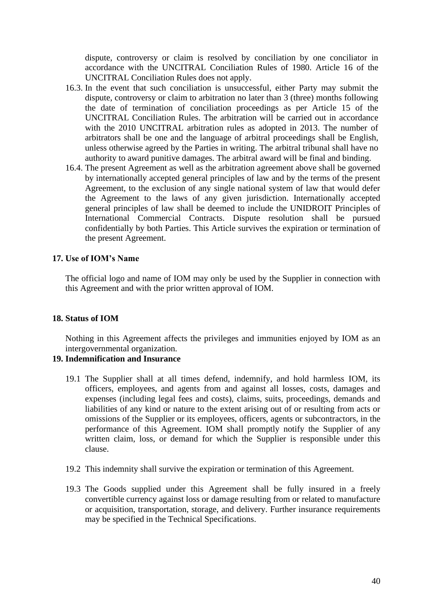dispute, controversy or claim is resolved by conciliation by one conciliator in accordance with the UNCITRAL Conciliation Rules of 1980. Article 16 of the UNCITRAL Conciliation Rules does not apply.

- 16.3. In the event that such conciliation is unsuccessful, either Party may submit the dispute, controversy or claim to arbitration no later than 3 (three) months following the date of termination of conciliation proceedings as per Article 15 of the UNCITRAL Conciliation Rules. The arbitration will be carried out in accordance with the 2010 UNCITRAL arbitration rules as adopted in 2013. The number of arbitrators shall be one and the language of arbitral proceedings shall be English, unless otherwise agreed by the Parties in writing. The arbitral tribunal shall have no authority to award punitive damages. The arbitral award will be final and binding.
- 16.4. The present Agreement as well as the arbitration agreement above shall be governed by internationally accepted general principles of law and by the terms of the present Agreement, to the exclusion of any single national system of law that would defer the Agreement to the laws of any given jurisdiction. Internationally accepted general principles of law shall be deemed to include the UNIDROIT Principles of International Commercial Contracts. Dispute resolution shall be pursued confidentially by both Parties. This Article survives the expiration or termination of the present Agreement.

## **17. Use of IOM's Name**

The official logo and name of IOM may only be used by the Supplier in connection with this Agreement and with the prior written approval of IOM.

#### **18. Status of IOM**

Nothing in this Agreement affects the privileges and immunities enjoyed by IOM as an intergovernmental organization.

### **19. Indemnification and Insurance**

- 19.1 The Supplier shall at all times defend, indemnify, and hold harmless IOM, its officers, employees, and agents from and against all losses, costs, damages and expenses (including legal fees and costs), claims, suits, proceedings, demands and liabilities of any kind or nature to the extent arising out of or resulting from acts or omissions of the Supplier or its employees, officers, agents or subcontractors, in the performance of this Agreement. IOM shall promptly notify the Supplier of any written claim, loss, or demand for which the Supplier is responsible under this clause.
- 19.2 This indemnity shall survive the expiration or termination of this Agreement.
- 19.3 The Goods supplied under this Agreement shall be fully insured in a freely convertible currency against loss or damage resulting from or related to manufacture or acquisition, transportation, storage, and delivery. Further insurance requirements may be specified in the Technical Specifications.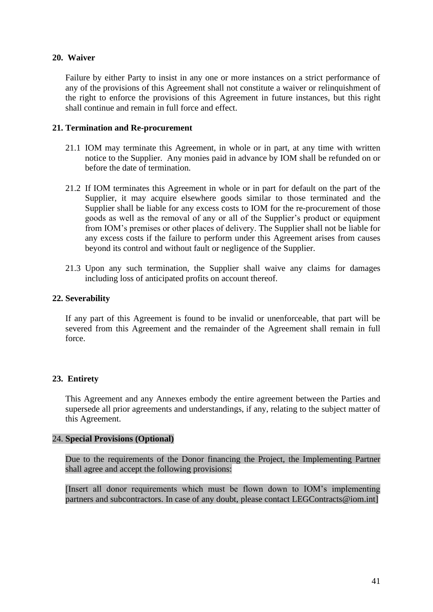# **20. Waiver**

Failure by either Party to insist in any one or more instances on a strict performance of any of the provisions of this Agreement shall not constitute a waiver or relinquishment of the right to enforce the provisions of this Agreement in future instances, but this right shall continue and remain in full force and effect.

## **21. Termination and Re-procurement**

- 21.1 IOM may terminate this Agreement, in whole or in part, at any time with written notice to the Supplier. Any monies paid in advance by IOM shall be refunded on or before the date of termination.
- 21.2 If IOM terminates this Agreement in whole or in part for default on the part of the Supplier, it may acquire elsewhere goods similar to those terminated and the Supplier shall be liable for any excess costs to IOM for the re-procurement of those goods as well as the removal of any or all of the Supplier's product or equipment from IOM's premises or other places of delivery. The Supplier shall not be liable for any excess costs if the failure to perform under this Agreement arises from causes beyond its control and without fault or negligence of the Supplier.
- 21.3 Upon any such termination, the Supplier shall waive any claims for damages including loss of anticipated profits on account thereof.

# **22. Severability**

If any part of this Agreement is found to be invalid or unenforceable, that part will be severed from this Agreement and the remainder of the Agreement shall remain in full force.

# **23. Entirety**

This Agreement and any Annexes embody the entire agreement between the Parties and supersede all prior agreements and understandings, if any, relating to the subject matter of this Agreement.

### 24. **Special Provisions (Optional)**

Due to the requirements of the Donor financing the Project, the Implementing Partner shall agree and accept the following provisions:

[Insert all donor requirements which must be flown down to IOM's implementing partners and subcontractors. In case of any doubt, please contact LEGContracts@iom.int]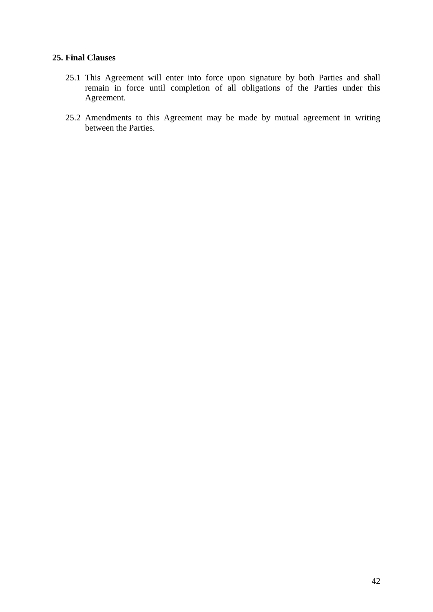# **25. Final Clauses**

- 25.1 This Agreement will enter into force upon signature by both Parties and shall remain in force until completion of all obligations of the Parties under this Agreement.
- 25.2 Amendments to this Agreement may be made by mutual agreement in writing between the Parties.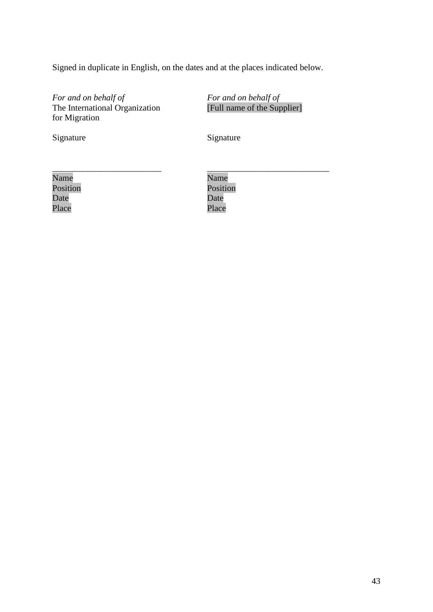Signed in duplicate in English, on the dates and at the places indicated below.

*For and on behalf of* The International Organization for Migration

*For and on behalf of* [Full name of the Supplier]

\_\_\_\_\_\_\_\_\_\_\_\_\_\_\_\_\_\_\_\_\_\_\_\_\_\_\_\_

Signature Signature Signature

| Name     |  |  |
|----------|--|--|
| Position |  |  |
| Date     |  |  |
| Place    |  |  |

Name Position Date Place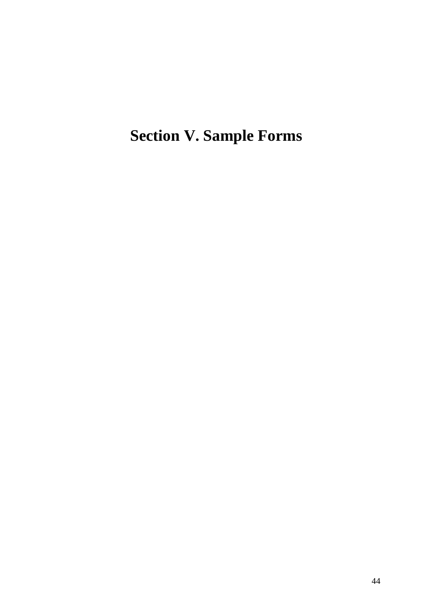<span id="page-43-0"></span>**Section V. Sample Forms**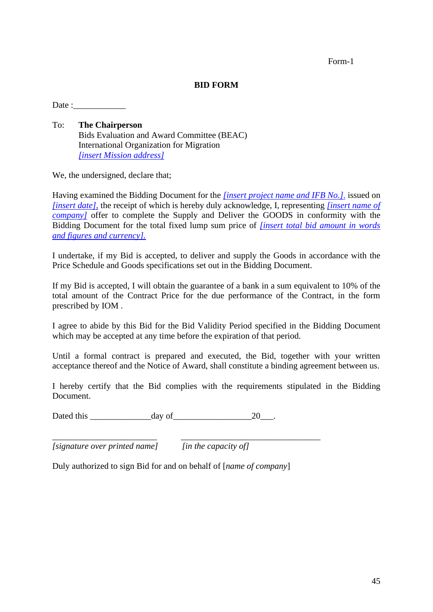Form-1

### **BID FORM**

 $Date:$ 

To: **The Chairperson** Bids Evaluation and Award Committee (BEAC) International Organization for Migration *[insert Mission address]* 

We, the undersigned, declare that;

Having examined the Bidding Document for the *[insert project name and IFB No.]*, issued on *[insert date],* the receipt of which is hereby duly acknowledge, I, representing *[insert name of company]* offer to complete the Supply and Deliver the GOODS in conformity with the Bidding Document for the total fixed lump sum price of *[insert total bid amount in words and figures and currency].*

I undertake, if my Bid is accepted, to deliver and supply the Goods in accordance with the Price Schedule and Goods specifications set out in the Bidding Document.

If my Bid is accepted, I will obtain the guarantee of a bank in a sum equivalent to 10% of the total amount of the Contract Price for the due performance of the Contract, in the form prescribed by IOM .

I agree to abide by this Bid for the Bid Validity Period specified in the Bidding Document which may be accepted at any time before the expiration of that period.

Until a formal contract is prepared and executed, the Bid, together with your written acceptance thereof and the Notice of Award, shall constitute a binding agreement between us.

I hereby certify that the Bid complies with the requirements stipulated in the Bidding Document.

Dated this  $\frac{day \text{ of } 20}{x}$ .

*[signature over printed name] [in the capacity of]*

Duly authorized to sign Bid for and on behalf of [*name of company*]

\_\_\_\_\_\_\_\_\_\_\_\_\_\_\_\_\_\_\_\_\_\_\_\_ \_\_\_\_\_\_\_\_\_\_\_\_\_\_\_\_\_\_\_\_\_\_\_\_\_\_\_\_\_\_\_\_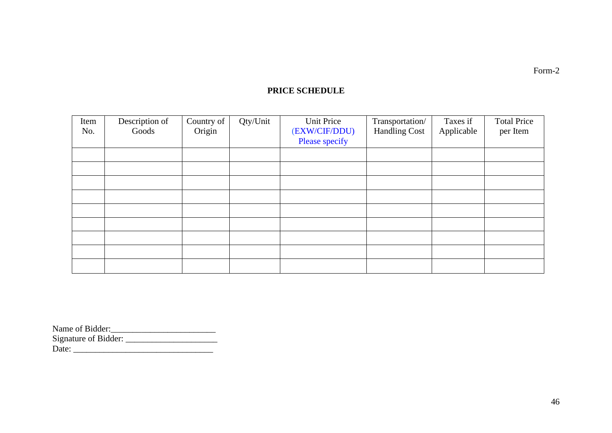# **PRICE SCHEDULE**

| Item | Description of | Country of | Qty/Unit | Unit Price     | Transportation/      | Taxes if   | <b>Total Price</b> |
|------|----------------|------------|----------|----------------|----------------------|------------|--------------------|
| No.  | Goods          | Origin     |          | (EXW/CIF/DDU)  | <b>Handling Cost</b> | Applicable | per Item           |
|      |                |            |          | Please specify |                      |            |                    |
|      |                |            |          |                |                      |            |                    |
|      |                |            |          |                |                      |            |                    |
|      |                |            |          |                |                      |            |                    |
|      |                |            |          |                |                      |            |                    |
|      |                |            |          |                |                      |            |                    |
|      |                |            |          |                |                      |            |                    |
|      |                |            |          |                |                      |            |                    |
|      |                |            |          |                |                      |            |                    |
|      |                |            |          |                |                      |            |                    |

| Name of Bidder:      |  |
|----------------------|--|
| Signature of Bidder: |  |
| Date:                |  |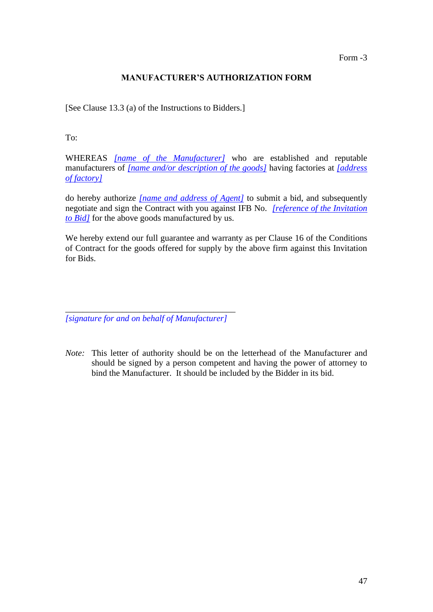Form -3

# **MANUFACTURER'S AUTHORIZATION FORM**

[See Clause 13.3 (a) of the Instructions to Bidders.]

To:

WHEREAS *[name of the Manufacturer]* who are established and reputable manufacturers of *[name and/or description of the goods]* having factories at *[address of factory]*

do hereby authorize *[name and address of Agent]* to submit a bid, and subsequently negotiate and sign the Contract with you against IFB No. *[reference of the Invitation to Bid]* for the above goods manufactured by us.

We hereby extend our full guarantee and warranty as per Clause 16 of the Conditions of Contract for the goods offered for supply by the above firm against this Invitation for Bids.

\_\_\_\_\_\_\_\_\_\_\_\_\_\_\_\_\_\_\_\_\_\_\_\_\_\_\_\_\_\_\_\_\_\_\_\_\_\_\_ *[signature for and on behalf of Manufacturer]*

*Note:* This letter of authority should be on the letterhead of the Manufacturer and should be signed by a person competent and having the power of attorney to bind the Manufacturer. It should be included by the Bidder in its bid.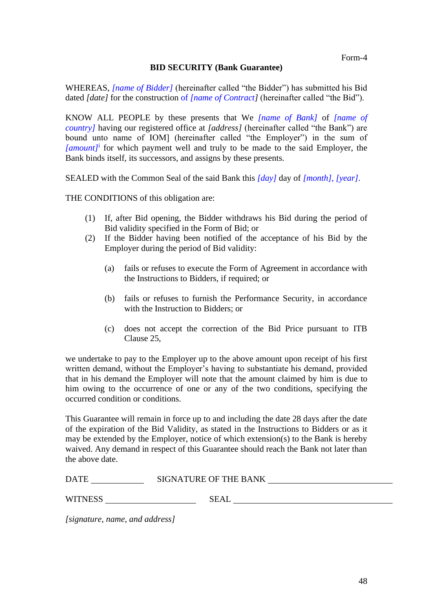## **BID SECURITY (Bank Guarantee)**

WHEREAS, *[name of Bidder]* (hereinafter called "the Bidder") has submitted his Bid dated *[date]* for the construction of *[name of Contract]* (hereinafter called "the Bid").

KNOW ALL PEOPLE by these presents that We *[name of Bank]* of *[name of country]* having our registered office at *[address]* (hereinafter called "the Bank") are bound unto name of IOM] (hereinafter called "the Employer") in the sum of *[amount]*<sup>i</sup> for which payment well and truly to be made to the said Employer, the Bank binds itself, its successors, and assigns by these presents.

SEALED with the Common Seal of the said Bank this *[day]* day of *[month]*, *[year]*.

THE CONDITIONS of this obligation are:

- (1) If, after Bid opening, the Bidder withdraws his Bid during the period of Bid validity specified in the Form of Bid; or
- (2) If the Bidder having been notified of the acceptance of his Bid by the Employer during the period of Bid validity:
	- (a) fails or refuses to execute the Form of Agreement in accordance with the Instructions to Bidders, if required; or
	- (b) fails or refuses to furnish the Performance Security, in accordance with the Instruction to Bidders; or
	- (c) does not accept the correction of the Bid Price pursuant to ITB Clause 25,

we undertake to pay to the Employer up to the above amount upon receipt of his first written demand, without the Employer's having to substantiate his demand, provided that in his demand the Employer will note that the amount claimed by him is due to him owing to the occurrence of one or any of the two conditions, specifying the occurred condition or conditions.

This Guarantee will remain in force up to and including the date 28 days after the date of the expiration of the Bid Validity, as stated in the Instructions to Bidders or as it may be extended by the Employer, notice of which extension(s) to the Bank is hereby waived. Any demand in respect of this Guarantee should reach the Bank not later than the above date.

| <b>DATE</b>    | SIGNATURE OF THE BANK |  |
|----------------|-----------------------|--|
| <b>WITNESS</b> | SEAL                  |  |

*[signature, name, and address]*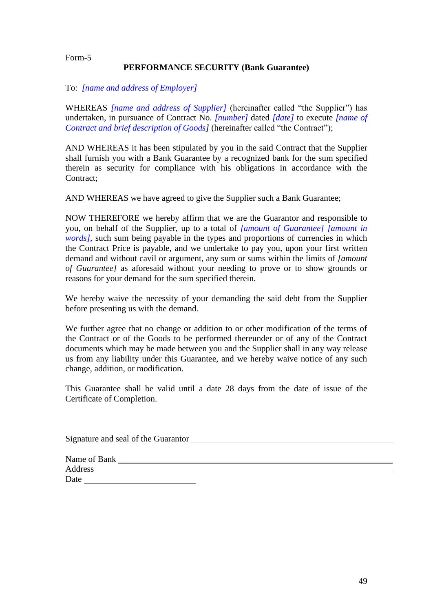#### Form-5

### **PERFORMANCE SECURITY (Bank Guarantee)**

#### To: *[name and address of Employer]*

WHEREAS *[name and address of Supplier]* (hereinafter called "the Supplier") has undertaken, in pursuance of Contract No. *[number]* dated *[date]* to execute *[name of Contract and brief description of Goods]* (hereinafter called "the Contract");

AND WHEREAS it has been stipulated by you in the said Contract that the Supplier shall furnish you with a Bank Guarantee by a recognized bank for the sum specified therein as security for compliance with his obligations in accordance with the Contract;

AND WHEREAS we have agreed to give the Supplier such a Bank Guarantee;

NOW THEREFORE we hereby affirm that we are the Guarantor and responsible to you, on behalf of the Supplier, up to a total of *[amount of Guarantee] [amount in words]*, such sum being payable in the types and proportions of currencies in which the Contract Price is payable, and we undertake to pay you, upon your first written demand and without cavil or argument, any sum or sums within the limits of *[amount of Guarantee]* as aforesaid without your needing to prove or to show grounds or reasons for your demand for the sum specified therein.

We hereby waive the necessity of your demanding the said debt from the Supplier before presenting us with the demand.

We further agree that no change or addition to or other modification of the terms of the Contract or of the Goods to be performed thereunder or of any of the Contract documents which may be made between you and the Supplier shall in any way release us from any liability under this Guarantee, and we hereby waive notice of any such change, addition, or modification.

This Guarantee shall be valid until a date 28 days from the date of issue of the Certificate of Completion.

| Signature and seal of the Guarantor |  |
|-------------------------------------|--|
|                                     |  |
| Name of Bank                        |  |
| Address                             |  |
| Date                                |  |